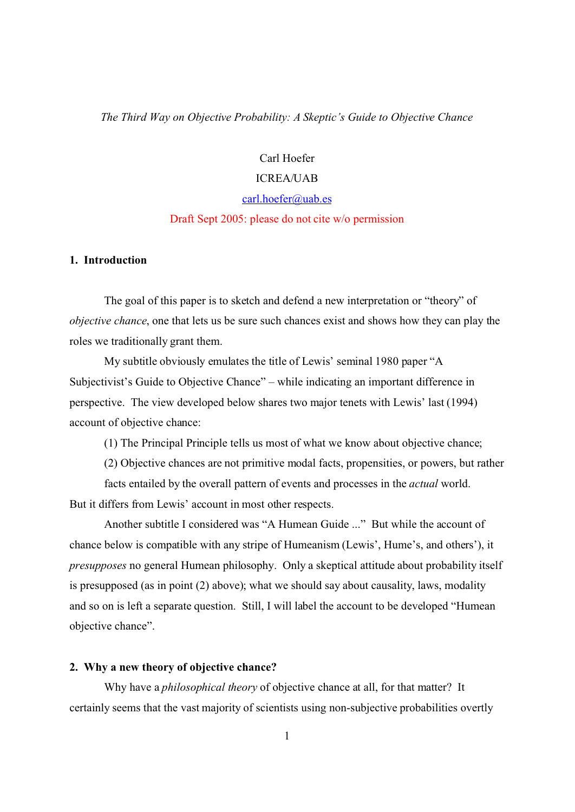# *The Third Way on Objective Probability: A Skeptic's Guide to Objective Chance*

# Carl Hoefer

### ICREA/UAB

### [carl.hoefer@uab.es](mailto:carl.hoefer@uab.es)

### Draft Sept 2005: please do not cite w/o permission

# **1. Introduction**

The goal of this paper is to sketch and defend a new interpretation or "theory" of *objective chance*, one that lets us be sure such chances exist and shows how they can play the roles we traditionally grant them.

My subtitle obviously emulates the title of Lewis' seminal 1980 paper "A Subjectivist's Guide to Objective Chance" – while indicating an important difference in perspective. The view developed below shares two major tenets with Lewis' last (1994) account of objective chance:

(1) The Principal Principle tells us most of what we know about objective chance;

(2) Objective chances are not primitive modal facts, propensities, or powers, but rather

facts entailed by the overall pattern of events and processes in the *actual* world.

But it differs from Lewis' account in most other respects.

Another subtitle I considered was "A Humean Guide ..." But while the account of chance below is compatible with any stripe of Humeanism (Lewis', Hume's, and others'), it *presupposes* no general Humean philosophy. Only a skeptical attitude about probability itself is presupposed (as in point (2) above); what we should say about causality, laws, modality and so on is left a separate question. Still, I will label the account to be developed "Humean objective chance".

# **2. Why a new theory of objective chance?**

Why have a *philosophical theory* of objective chance at all, for that matter? It certainly seems that the vast majority of scientists using non-subjective probabilities overtly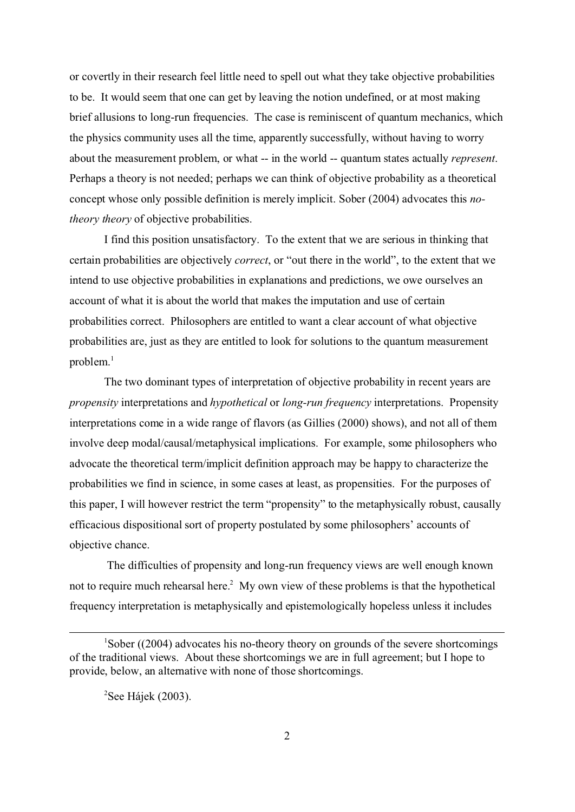or covertly in their research feel little need to spell out what they take objective probabilities to be. It would seem that one can get by leaving the notion undefined, or at most making brief allusions to long-run frequencies. The case is reminiscent of quantum mechanics, which the physics community uses all the time, apparently successfully, without having to worry about the measurement problem, or what -- in the world -- quantum states actually *represent*. Perhaps a theory is not needed; perhaps we can think of objective probability as a theoretical concept whose only possible definition is merely implicit. Sober (2004) advocates this *notheory theory* of objective probabilities.

I find this position unsatisfactory. To the extent that we are serious in thinking that certain probabilities are objectively *correct*, or "out there in the world", to the extent that we intend to use objective probabilities in explanations and predictions, we owe ourselves an account of what it is about the world that makes the imputation and use of certain probabilities correct. Philosophers are entitled to want a clear account of what objective probabilities are, just as they are entitled to look for solutions to the quantum measurement problem.<sup>1</sup>

The two dominant types of interpretation of objective probability in recent years are *propensity* interpretations and *hypothetical* or *long-run frequency* interpretations. Propensity interpretations come in a wide range of flavors (as Gillies (2000) shows), and not all of them involve deep modal/causal/metaphysical implications. For example, some philosophers who advocate the theoretical term/implicit definition approach may be happy to characterize the probabilities we find in science, in some cases at least, as propensities. For the purposes of this paper, I will however restrict the term "propensity" to the metaphysically robust, causally efficacious dispositional sort of property postulated by some philosophers' accounts of objective chance.

 The difficulties of propensity and long-run frequency views are well enough known not to require much rehearsal here.<sup>2</sup> My own view of these problems is that the hypothetical frequency interpretation is metaphysically and epistemologically hopeless unless it includes

 $2$ See Hájek (2003).

<sup>&</sup>lt;sup>1</sup>Sober ((2004) advocates his no-theory theory on grounds of the severe shortcomings of the traditional views. About these shortcomings we are in full agreement; but I hope to provide, below, an alternative with none of those shortcomings.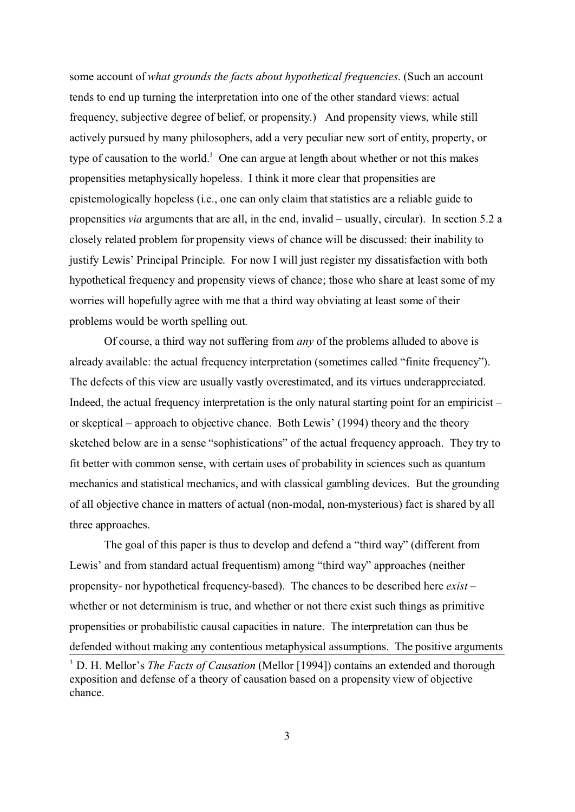some account of *what grounds the facts about hypothetical frequencies*. (Such an account tends to end up turning the interpretation into one of the other standard views: actual frequency, subjective degree of belief, or propensity.) And propensity views, while still actively pursued by many philosophers, add a very peculiar new sort of entity, property, or type of causation to the world.<sup>3</sup> One can argue at length about whether or not this makes propensities metaphysically hopeless. I think it more clear that propensities are epistemologically hopeless (i.e., one can only claim that statistics are a reliable guide to propensities *via* arguments that are all, in the end, invalid – usually, circular). In section 5.2 a closely related problem for propensity views of chance will be discussed: their inability to justify Lewis' Principal Principle. For now I will just register my dissatisfaction with both hypothetical frequency and propensity views of chance; those who share at least some of my worries will hopefully agree with me that a third way obviating at least some of their problems would be worth spelling out.

Of course, a third way not suffering from *any* of the problems alluded to above is already available: the actual frequency interpretation (sometimes called "finite frequency"). The defects of this view are usually vastly overestimated, and its virtues underappreciated. Indeed, the actual frequency interpretation is the only natural starting point for an empiricist – or skeptical – approach to objective chance. Both Lewis' (1994) theory and the theory sketched below are in a sense "sophistications" of the actual frequency approach. They try to fit better with common sense, with certain uses of probability in sciences such as quantum mechanics and statistical mechanics, and with classical gambling devices. But the grounding of all objective chance in matters of actual (non-modal, non-mysterious) fact is shared by all three approaches.

The goal of this paper is thus to develop and defend a "third way" (different from Lewis' and from standard actual frequentism) among "third way" approaches (neither propensity- nor hypothetical frequency-based). The chances to be described here *exist* – whether or not determinism is true, and whether or not there exist such things as primitive propensities or probabilistic causal capacities in nature. The interpretation can thus be defended without making any contentious metaphysical assumptions. The positive arguments

<sup>3</sup> D. H. Mellor's *The Facts of Causation* (Mellor [1994]) contains an extended and thorough exposition and defense of a theory of causation based on a propensity view of objective chance.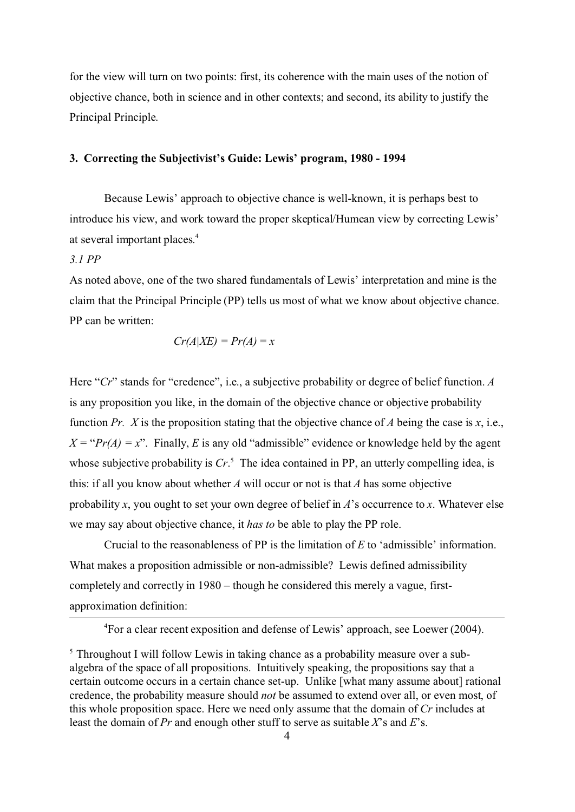for the view will turn on two points: first, its coherence with the main uses of the notion of objective chance, both in science and in other contexts; and second, its ability to justify the Principal Principle.

# **3. Correcting the Subjectivist's Guide: Lewis' program, 1980 - 1994**

Because Lewis' approach to objective chance is well-known, it is perhaps best to introduce his view, and work toward the proper skeptical/Humean view by correcting Lewis' at several important places. 4

# *3.1 PP*

As noted above, one of the two shared fundamentals of Lewis' interpretation and mine is the claim that the Principal Principle (PP) tells us most of what we know about objective chance. PP can be written:

$$
Cr(A|XE) = Pr(A) = x
$$

Here "*Cr*" stands for "credence", i.e., a subjective probability or degree of belief function. *A* is any proposition you like, in the domain of the objective chance or objective probability function *Pr. X* is the proposition stating that the objective chance of *A* being the case is *x*, i.e.,  $X = \alpha P r(A) = x$ ". Finally, *E* is any old "admissible" evidence or knowledge held by the agent whose subjective probability is  $Cr^5$ . The idea contained in PP, an utterly compelling idea, is this: if all you know about whether *A* will occur or not is that *A* has some objective probability *x*, you ought to set your own degree of belief in *A*'s occurrence to *x*. Whatever else we may say about objective chance, it *has to* be able to play the PP role.

Crucial to the reasonableness of PP is the limitation of *E* to 'admissible' information. What makes a proposition admissible or non-admissible? Lewis defined admissibility completely and correctly in 1980 – though he considered this merely a vague, firstapproximation definition:

<sup>4</sup>For a clear recent exposition and defense of Lewis' approach, see Loewer (2004).

<sup>5</sup> Throughout I will follow Lewis in taking chance as a probability measure over a subalgebra of the space of all propositions. Intuitively speaking, the propositions say that a certain outcome occurs in a certain chance set-up. Unlike [what many assume about] rational credence, the probability measure should *not* be assumed to extend over all, or even most, of this whole proposition space. Here we need only assume that the domain of *Cr* includes at least the domain of *Pr* and enough other stuff to serve as suitable *X*'s and *E*'s.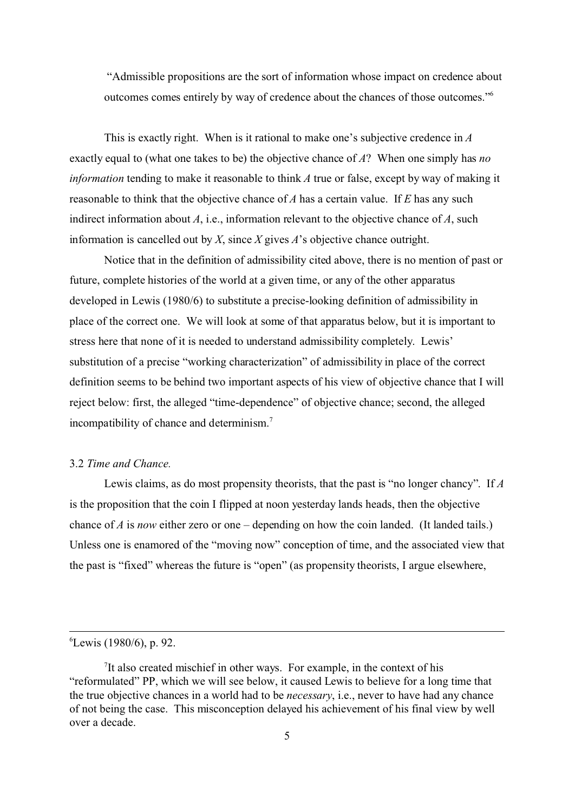"Admissible propositions are the sort of information whose impact on credence about outcomes comes entirely by way of credence about the chances of those outcomes."<sup>6</sup>

This is exactly right. When is it rational to make one's subjective credence in *A* exactly equal to (what one takes to be) the objective chance of *A*? When one simply has *no information* tending to make it reasonable to think *A* true or false, except by way of making it reasonable to think that the objective chance of *A* has a certain value. If *E* has any such indirect information about *A*, i.e., information relevant to the objective chance of *A*, such information is cancelled out by *X*, since *X* gives *A*'s objective chance outright.

Notice that in the definition of admissibility cited above, there is no mention of past or future, complete histories of the world at a given time, or any of the other apparatus developed in Lewis (1980/6) to substitute a precise-looking definition of admissibility in place of the correct one. We will look at some of that apparatus below, but it is important to stress here that none of it is needed to understand admissibility completely. Lewis' substitution of a precise "working characterization" of admissibility in place of the correct definition seems to be behind two important aspects of his view of objective chance that I will reject below: first, the alleged "time-dependence" of objective chance; second, the alleged incompatibility of chance and determinism.<sup>7</sup>

# 3.2 *Time and Chance.*

Lewis claims, as do most propensity theorists, that the past is "no longer chancy". If *A* is the proposition that the coin I flipped at noon yesterday lands heads, then the objective chance of *A* is *now* either zero or one – depending on how the coin landed. (It landed tails.) Unless one is enamored of the "moving now" conception of time, and the associated view that the past is "fixed" whereas the future is "open" (as propensity theorists, I argue elsewhere,

 ${}^{6}$ Lewis (1980/6), p. 92.

 $7$ It also created mischief in other ways. For example, in the context of his "reformulated" PP, which we will see below, it caused Lewis to believe for a long time that the true objective chances in a world had to be *necessary*, i.e., never to have had any chance of not being the case. This misconception delayed his achievement of his final view by well over a decade.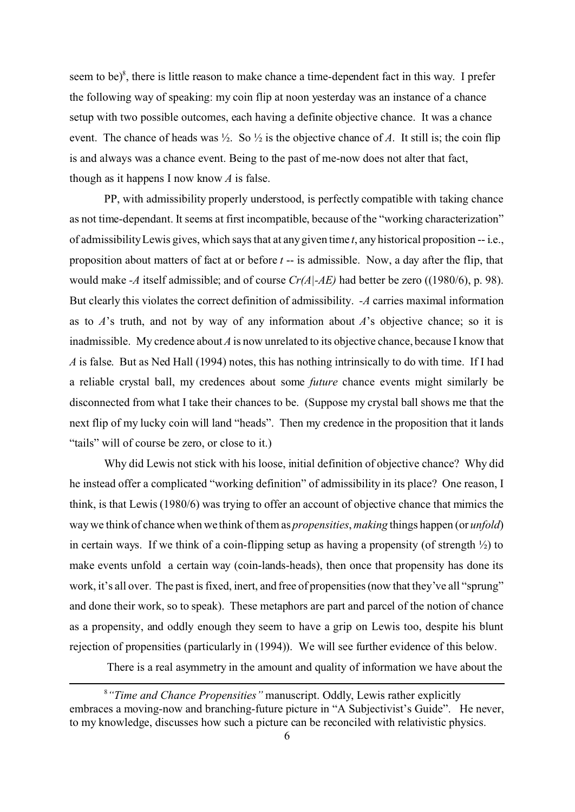seem to be)<sup>8</sup>, there is little reason to make chance a time-dependent fact in this way. I prefer the following way of speaking: my coin flip at noon yesterday was an instance of a chance setup with two possible outcomes, each having a definite objective chance. It was a chance event. The chance of heads was  $\frac{1}{2}$ . So  $\frac{1}{2}$  is the objective chance of *A*. It still is; the coin flip is and always was a chance event. Being to the past of me-now does not alter that fact, though as it happens I now know *A* is false.

PP, with admissibility properly understood, is perfectly compatible with taking chance as not time-dependant. It seems at first incompatible, because of the "working characterization" of admissibility Lewis gives, which says that at any given time *t*, any historical proposition -- i.e., proposition about matters of fact at or before *t* -- is admissible. Now, a day after the flip, that would make *-A* itself admissible; and of course *Cr(A|-AE)* had better be zero ((1980/6), p. 98). But clearly this violates the correct definition of admissibility. *-A* carries maximal information as to *A*'s truth, and not by way of any information about *A*'s objective chance; so it is inadmissible. My credence about *A* is now unrelated to its objective chance, because I know that *A* is false. But as Ned Hall (1994) notes, this has nothing intrinsically to do with time. If I had a reliable crystal ball, my credences about some *future* chance events might similarly be disconnected from what I take their chances to be. (Suppose my crystal ball shows me that the next flip of my lucky coin will land "heads". Then my credence in the proposition that it lands "tails" will of course be zero, or close to it.)

Why did Lewis not stick with his loose, initial definition of objective chance? Why did he instead offer a complicated "working definition" of admissibility in its place? One reason, I think, is that Lewis (1980/6) was trying to offer an account of objective chance that mimics the way we think of chance when we think of them as *propensities*, *making* things happen (or *unfold*) in certain ways. If we think of a coin-flipping setup as having a propensity (of strength  $\frac{1}{2}$ ) to make events unfold a certain way (coin-lands-heads), then once that propensity has done its work, it's all over. The past is fixed, inert, and free of propensities (now that they've all "sprung" and done their work, so to speak). These metaphors are part and parcel of the notion of chance as a propensity, and oddly enough they seem to have a grip on Lewis too, despite his blunt rejection of propensities (particularly in (1994)). We will see further evidence of this below.

There is a real asymmetry in the amount and quality of information we have about the

<sup>8</sup>*"Time and Chance Propensities"* manuscript. Oddly, Lewis rather explicitly embraces a moving-now and branching-future picture in "A Subjectivist's Guide". He never, to my knowledge, discusses how such a picture can be reconciled with relativistic physics.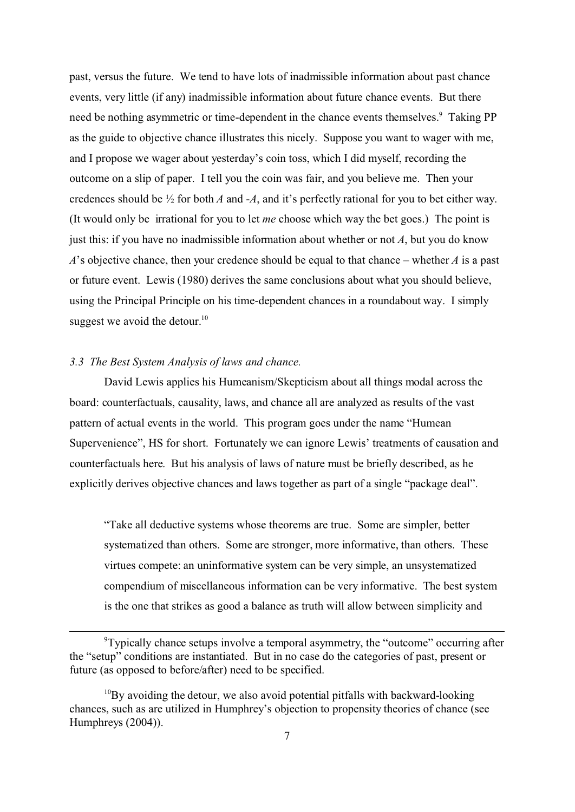past, versus the future. We tend to have lots of inadmissible information about past chance events, very little (if any) inadmissible information about future chance events. But there need be nothing asymmetric or time-dependent in the chance events themselves.<sup>9</sup> Taking PP as the guide to objective chance illustrates this nicely. Suppose you want to wager with me, and I propose we wager about yesterday's coin toss, which I did myself, recording the outcome on a slip of paper. I tell you the coin was fair, and you believe me. Then your credences should be ½ for both *A* and -*A*, and it's perfectly rational for you to bet either way. (It would only be irrational for you to let *me* choose which way the bet goes.) The point is just this: if you have no inadmissible information about whether or not  $A$ , but you do know *A*'s objective chance, then your credence should be equal to that chance – whether *A* is a past or future event. Lewis (1980) derives the same conclusions about what you should believe, using the Principal Principle on his time-dependent chances in a roundabout way. I simply suggest we avoid the detour. $10$ 

#### *3.3 The Best System Analysis of laws and chance.*

David Lewis applies his Humeanism/Skepticism about all things modal across the board: counterfactuals, causality, laws, and chance all are analyzed as results of the vast pattern of actual events in the world. This program goes under the name "Humean Supervenience", HS for short. Fortunately we can ignore Lewis' treatments of causation and counterfactuals here. But his analysis of laws of nature must be briefly described, as he explicitly derives objective chances and laws together as part of a single "package deal".

"Take all deductive systems whose theorems are true. Some are simpler, better systematized than others. Some are stronger, more informative, than others. These virtues compete: an uninformative system can be very simple, an unsystematized compendium of miscellaneous information can be very informative. The best system is the one that strikes as good a balance as truth will allow between simplicity and

<sup>9</sup>Typically chance setups involve a temporal asymmetry, the "outcome" occurring after the "setup" conditions are instantiated. But in no case do the categories of past, present or future (as opposed to before/after) need to be specified.

 $10By$  avoiding the detour, we also avoid potential pitfalls with backward-looking chances, such as are utilized in Humphrey's objection to propensity theories of chance (see Humphreys (2004)).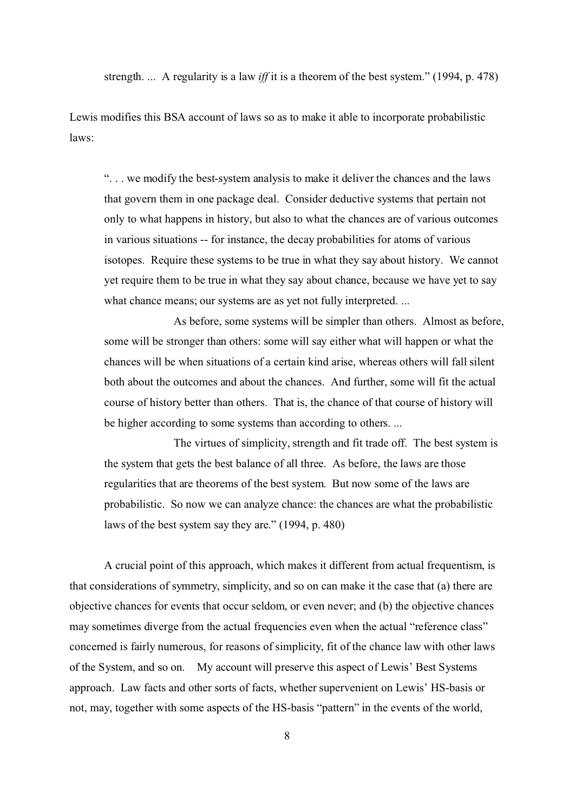strength. ... A regularity is a law *iff* it is a theorem of the best system." (1994, p. 478)

Lewis modifies this BSA account of laws so as to make it able to incorporate probabilistic laws:

". . . we modify the best-system analysis to make it deliver the chances and the laws that govern them in one package deal. Consider deductive systems that pertain not only to what happens in history, but also to what the chances are of various outcomes in various situations -- for instance, the decay probabilities for atoms of various isotopes. Require these systems to be true in what they say about history. We cannot yet require them to be true in what they say about chance, because we have yet to say what chance means; our systems are as yet not fully interpreted. ...

As before, some systems will be simpler than others. Almost as before, some will be stronger than others: some will say either what will happen or what the chances will be when situations of a certain kind arise, whereas others will fall silent both about the outcomes and about the chances. And further, some will fit the actual course of history better than others. That is, the chance of that course of history will be higher according to some systems than according to others. ...

The virtues of simplicity, strength and fit trade off. The best system is the system that gets the best balance of all three. As before, the laws are those regularities that are theorems of the best system. But now some of the laws are probabilistic. So now we can analyze chance: the chances are what the probabilistic laws of the best system say they are." (1994, p. 480)

A crucial point of this approach, which makes it different from actual frequentism, is that considerations of symmetry, simplicity, and so on can make it the case that (a) there are objective chances for events that occur seldom, or even never; and (b) the objective chances may sometimes diverge from the actual frequencies even when the actual "reference class" concerned is fairly numerous, for reasons of simplicity, fit of the chance law with other laws of the System, and so on. My account will preserve this aspect of Lewis' Best Systems approach. Law facts and other sorts of facts, whether supervenient on Lewis' HS-basis or not, may, together with some aspects of the HS-basis "pattern" in the events of the world,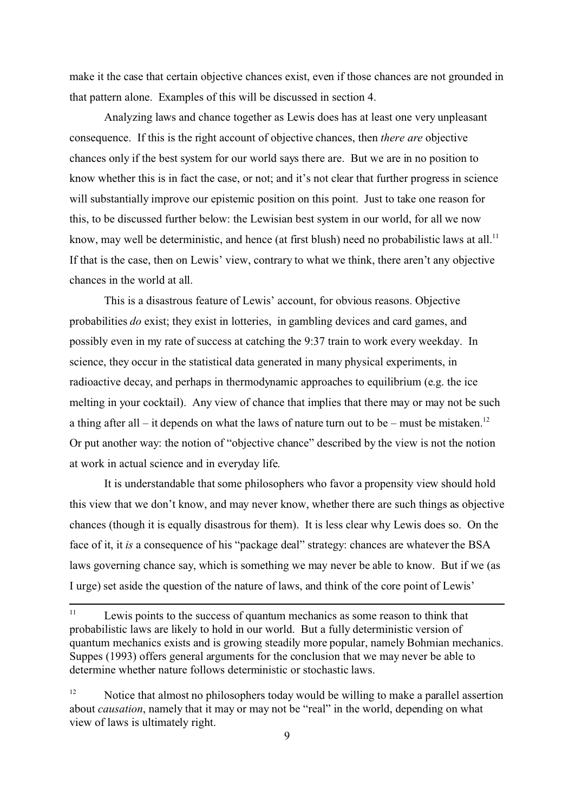make it the case that certain objective chances exist, even if those chances are not grounded in that pattern alone. Examples of this will be discussed in section 4.

Analyzing laws and chance together as Lewis does has at least one very unpleasant consequence. If this is the right account of objective chances, then *there are* objective chances only if the best system for our world says there are. But we are in no position to know whether this is in fact the case, or not; and it's not clear that further progress in science will substantially improve our epistemic position on this point. Just to take one reason for this, to be discussed further below: the Lewisian best system in our world, for all we now know, may well be deterministic, and hence (at first blush) need no probabilistic laws at all.<sup>11</sup> If that is the case, then on Lewis' view, contrary to what we think, there aren't any objective chances in the world at all.

This is a disastrous feature of Lewis' account, for obvious reasons. Objective probabilities *do* exist; they exist in lotteries, in gambling devices and card games, and possibly even in my rate of success at catching the 9:37 train to work every weekday. In science, they occur in the statistical data generated in many physical experiments, in radioactive decay, and perhaps in thermodynamic approaches to equilibrium (e.g. the ice melting in your cocktail). Any view of chance that implies that there may or may not be such a thing after all – it depends on what the laws of nature turn out to be – must be mistaken.<sup>12</sup> Or put another way: the notion of "objective chance" described by the view is not the notion at work in actual science and in everyday life.

It is understandable that some philosophers who favor a propensity view should hold this view that we don't know, and may never know, whether there are such things as objective chances (though it is equally disastrous for them). It is less clear why Lewis does so. On the face of it, it *is* a consequence of his "package deal" strategy: chances are whatever the BSA laws governing chance say, which is something we may never be able to know. But if we (as I urge) set aside the question of the nature of laws, and think of the core point of Lewis'

<sup>&</sup>lt;sup>11</sup> Lewis points to the success of quantum mechanics as some reason to think that probabilistic laws are likely to hold in our world. But a fully deterministic version of quantum mechanics exists and is growing steadily more popular, namely Bohmian mechanics. Suppes (1993) offers general arguments for the conclusion that we may never be able to determine whether nature follows deterministic or stochastic laws.

<sup>&</sup>lt;sup>12</sup> Notice that almost no philosophers today would be willing to make a parallel assertion about *causation*, namely that it may or may not be "real" in the world, depending on what view of laws is ultimately right.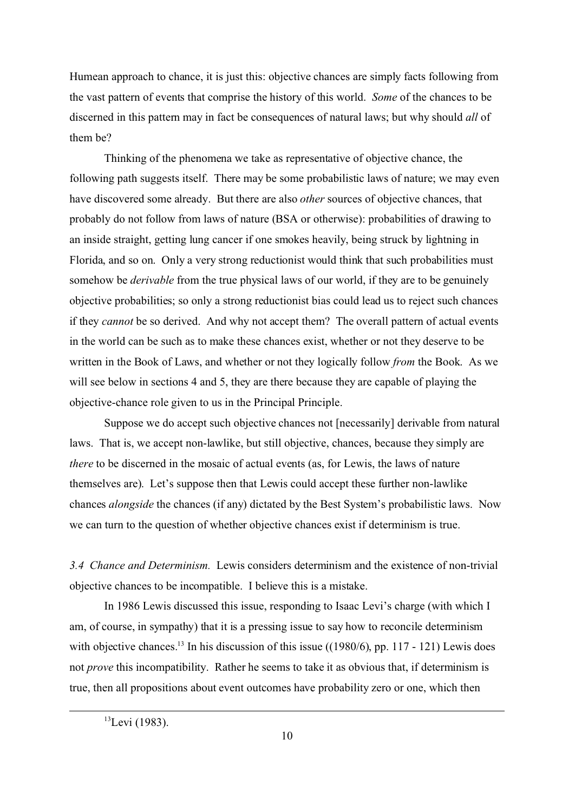Humean approach to chance, it is just this: objective chances are simply facts following from the vast pattern of events that comprise the history of this world. *Some* of the chances to be discerned in this pattern may in fact be consequences of natural laws; but why should *all* of them be?

Thinking of the phenomena we take as representative of objective chance, the following path suggests itself. There may be some probabilistic laws of nature; we may even have discovered some already. But there are also *other* sources of objective chances, that probably do not follow from laws of nature (BSA or otherwise): probabilities of drawing to an inside straight, getting lung cancer if one smokes heavily, being struck by lightning in Florida, and so on. Only a very strong reductionist would think that such probabilities must somehow be *derivable* from the true physical laws of our world, if they are to be genuinely objective probabilities; so only a strong reductionist bias could lead us to reject such chances if they *cannot* be so derived. And why not accept them? The overall pattern of actual events in the world can be such as to make these chances exist, whether or not they deserve to be written in the Book of Laws, and whether or not they logically follow *from* the Book. As we will see below in sections 4 and 5, they are there because they are capable of playing the objective-chance role given to us in the Principal Principle.

Suppose we do accept such objective chances not [necessarily] derivable from natural laws. That is, we accept non-lawlike, but still objective, chances, because they simply are *there* to be discerned in the mosaic of actual events (as, for Lewis, the laws of nature themselves are). Let's suppose then that Lewis could accept these further non-lawlike chances *alongside* the chances (if any) dictated by the Best System's probabilistic laws. Now we can turn to the question of whether objective chances exist if determinism is true.

*3.4 Chance and Determinism.* Lewis considers determinism and the existence of non-trivial objective chances to be incompatible. I believe this is a mistake.

In 1986 Lewis discussed this issue, responding to Isaac Levi's charge (with which I am, of course, in sympathy) that it is a pressing issue to say how to reconcile determinism with objective chances.<sup>13</sup> In his discussion of this issue  $((1980/6)$ , pp. 117 - 121) Lewis does not *prove* this incompatibility. Rather he seems to take it as obvious that, if determinism is true, then all propositions about event outcomes have probability zero or one, which then

<sup>&</sup>lt;sup>13</sup>Levi (1983).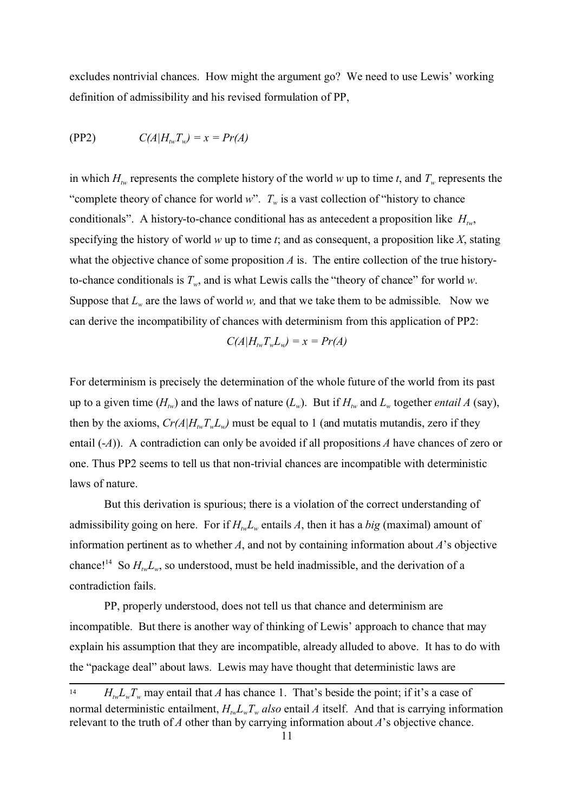excludes nontrivial chances. How might the argument go? We need to use Lewis' working definition of admissibility and his revised formulation of PP,

$$
(PP2) \tC(A|HtwTw) = x = Pr(A)
$$

in which  $H_{tw}$  represents the complete history of the world *w* up to time *t*, and  $T_{w}$  represents the "complete theory of chance for world *w*".  $T_w$  is a vast collection of "history to chance" conditionals". A history-to-chance conditional has as antecedent a proposition like  $H_{\text{tw}}$ , specifying the history of world *w* up to time *t*; and as consequent, a proposition like *X*, stating what the objective chance of some proposition *A* is. The entire collection of the true historyto-chance conditionals is *T<sup>w</sup>* , and is what Lewis calls the "theory of chance" for world *w*. Suppose that  $L<sub>w</sub>$  are the laws of world *w*, and that we take them to be admissible. Now we can derive the incompatibility of chances with determinism from this application of PP2:

$$
C(A|H_{tw}T_wL_w) = x = Pr(A)
$$

For determinism is precisely the determination of the whole future of the world from its past up to a given time  $(H_{tw})$  and the laws of nature  $(L_w)$ . But if  $H_{tw}$  and  $L_w$  together *entail*  $A$  (say), then by the axioms,  $Cr(A|H_{tw}T_wL_w)$  must be equal to 1 (and mutatis mutandis, zero if they entail (-*A*)). A contradiction can only be avoided if all propositions *A* have chances of zero or one. Thus PP2 seems to tell us that non-trivial chances are incompatible with deterministic laws of nature.

But this derivation is spurious; there is a violation of the correct understanding of admissibility going on here. For if  $H_{tw}L_w$  entails A, then it has a *big* (maximal) amount of information pertinent as to whether *A*, and not by containing information about *A*'s objective chance!<sup>14</sup> So  $H_w L_w$ , so understood, must be held inadmissible, and the derivation of a contradiction fails.

PP, properly understood, does not tell us that chance and determinism are incompatible. But there is another way of thinking of Lewis' approach to chance that may explain his assumption that they are incompatible, already alluded to above. It has to do with the "package deal" about laws. Lewis may have thought that deterministic laws are

<sup>&</sup>lt;sup>14</sup>  $H_wL_wT_w$  may entail that *A* has chance 1. That's beside the point; if it's a case of normal deterministic entailment,  $H_{\mu\nu}L_{\nu}T_{\nu}$  *also* entail *A* itself. And that is carrying information relevant to the truth of *A* other than by carrying information about *A*'s objective chance.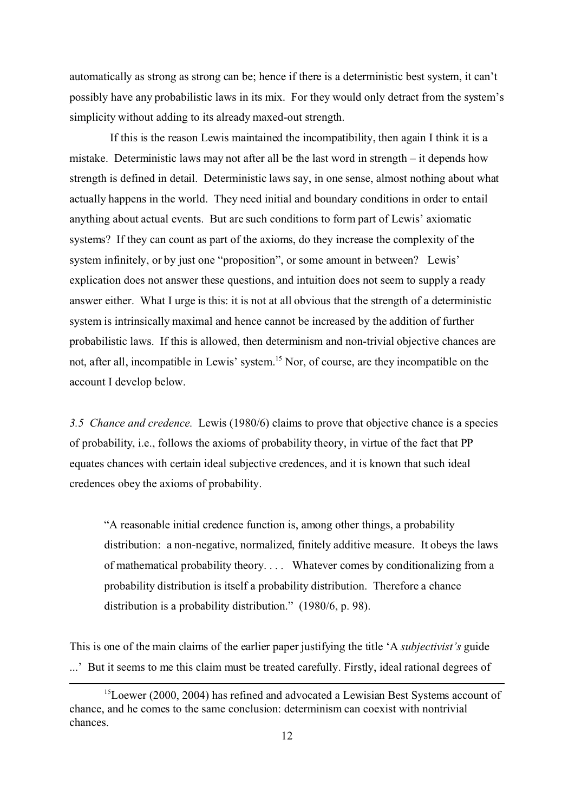automatically as strong as strong can be; hence if there is a deterministic best system, it can't possibly have any probabilistic laws in its mix. For they would only detract from the system's simplicity without adding to its already maxed-out strength.

 If this is the reason Lewis maintained the incompatibility, then again I think it is a mistake. Deterministic laws may not after all be the last word in strength – it depends how strength is defined in detail. Deterministic laws say, in one sense, almost nothing about what actually happens in the world. They need initial and boundary conditions in order to entail anything about actual events. But are such conditions to form part of Lewis' axiomatic systems? If they can count as part of the axioms, do they increase the complexity of the system infinitely, or by just one "proposition", or some amount in between? Lewis' explication does not answer these questions, and intuition does not seem to supply a ready answer either. What I urge is this: it is not at all obvious that the strength of a deterministic system is intrinsically maximal and hence cannot be increased by the addition of further probabilistic laws. If this is allowed, then determinism and non-trivial objective chances are not, after all, incompatible in Lewis' system.<sup>15</sup> Nor, of course, are they incompatible on the account I develop below.

*3.5 Chance and credence.* Lewis (1980/6) claims to prove that objective chance is a species of probability, i.e., follows the axioms of probability theory, in virtue of the fact that PP equates chances with certain ideal subjective credences, and it is known that such ideal credences obey the axioms of probability.

"A reasonable initial credence function is, among other things, a probability distribution: a non-negative, normalized, finitely additive measure. It obeys the laws of mathematical probability theory. . . . Whatever comes by conditionalizing from a probability distribution is itself a probability distribution. Therefore a chance distribution is a probability distribution." (1980/6, p. 98).

This is one of the main claims of the earlier paper justifying the title 'A *subjectivist's* guide ...' But it seems to me this claim must be treated carefully. Firstly, ideal rational degrees of

<sup>&</sup>lt;sup>15</sup>Loewer (2000, 2004) has refined and advocated a Lewisian Best Systems account of chance, and he comes to the same conclusion: determinism can coexist with nontrivial chances.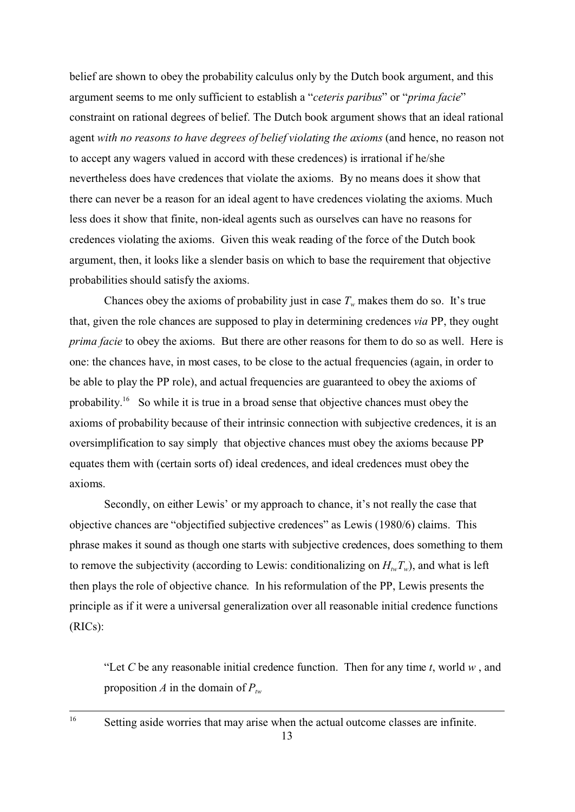belief are shown to obey the probability calculus only by the Dutch book argument, and this argument seems to me only sufficient to establish a "*ceteris paribus*" or "*prima facie*" constraint on rational degrees of belief. The Dutch book argument shows that an ideal rational agent *with no reasons to have degrees of belief violating the axioms* (and hence, no reason not to accept any wagers valued in accord with these credences) is irrational if he/she nevertheless does have credences that violate the axioms. By no means does it show that there can never be a reason for an ideal agent to have credences violating the axioms. Much less does it show that finite, non-ideal agents such as ourselves can have no reasons for credences violating the axioms. Given this weak reading of the force of the Dutch book argument, then, it looks like a slender basis on which to base the requirement that objective probabilities should satisfy the axioms.

Chances obey the axioms of probability just in case  $T_w$  makes them do so. It's true that, given the role chances are supposed to play in determining credences *via* PP, they ought *prima facie* to obey the axioms. But there are other reasons for them to do so as well. Here is one: the chances have, in most cases, to be close to the actual frequencies (again, in order to be able to play the PP role), and actual frequencies are guaranteed to obey the axioms of probability.<sup>16</sup> So while it is true in a broad sense that objective chances must obey the axioms of probability because of their intrinsic connection with subjective credences, it is an oversimplification to say simply that objective chances must obey the axioms because PP equates them with (certain sorts of) ideal credences, and ideal credences must obey the axioms.

Secondly, on either Lewis' or my approach to chance, it's not really the case that objective chances are "objectified subjective credences" as Lewis (1980/6) claims. This phrase makes it sound as though one starts with subjective credences, does something to them to remove the subjectivity (according to Lewis: conditionalizing on *HtwT<sup>w</sup>* ), and what is left then plays the role of objective chance. In his reformulation of the PP, Lewis presents the principle as if it were a universal generalization over all reasonable initial credence functions (RICs):

"Let *C* be any reasonable initial credence function. Then for any time *t*, world *w* , and proposition *A* in the domain of  $P_{\mu\nu}$ 

<sup>16</sup> Setting aside worries that may arise when the actual outcome classes are infinite.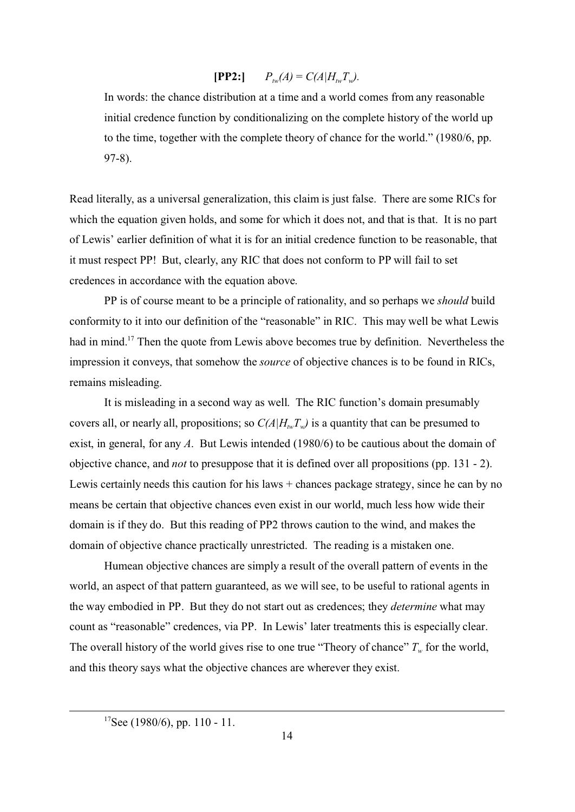# **[PP2:]**  $P_{tw}(A) = C(A|H_{tw}T_w)$ .

In words: the chance distribution at a time and a world comes from any reasonable initial credence function by conditionalizing on the complete history of the world up to the time, together with the complete theory of chance for the world." (1980/6, pp. 97-8).

Read literally, as a universal generalization, this claim is just false. There are some RICs for which the equation given holds, and some for which it does not, and that is that. It is no part of Lewis' earlier definition of what it is for an initial credence function to be reasonable, that it must respect PP! But, clearly, any RIC that does not conform to PP will fail to set credences in accordance with the equation above.

PP is of course meant to be a principle of rationality, and so perhaps we *should* build conformity to it into our definition of the "reasonable" in RIC. This may well be what Lewis had in mind.<sup>17</sup> Then the quote from Lewis above becomes true by definition. Nevertheless the impression it conveys, that somehow the *source* of objective chances is to be found in RICs, remains misleading.

It is misleading in a second way as well. The RIC function's domain presumably covers all, or nearly all, propositions; so  $C(A|H_{tw}T_w)$  is a quantity that can be presumed to exist, in general, for any *A*. But Lewis intended (1980/6) to be cautious about the domain of objective chance, and *not* to presuppose that it is defined over all propositions (pp. 131 - 2). Lewis certainly needs this caution for his laws + chances package strategy, since he can by no means be certain that objective chances even exist in our world, much less how wide their domain is if they do. But this reading of PP2 throws caution to the wind, and makes the domain of objective chance practically unrestricted. The reading is a mistaken one.

Humean objective chances are simply a result of the overall pattern of events in the world, an aspect of that pattern guaranteed, as we will see, to be useful to rational agents in the way embodied in PP. But they do not start out as credences; they *determine* what may count as "reasonable" credences, via PP. In Lewis' later treatments this is especially clear. The overall history of the world gives rise to one true "Theory of chance" *T<sup>w</sup>* for the world, and this theory says what the objective chances are wherever they exist.

 $17$ See (1980/6), pp. 110 - 11.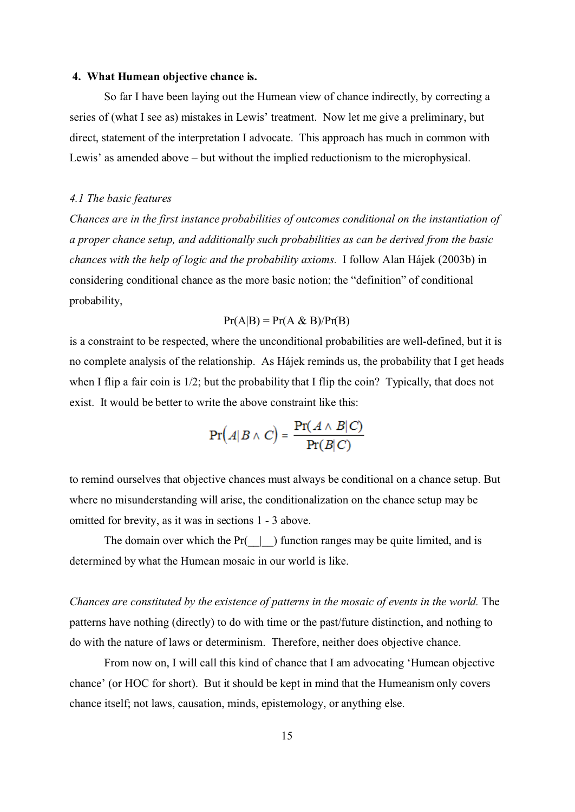### **4. What Humean objective chance is.**

So far I have been laying out the Humean view of chance indirectly, by correcting a series of (what I see as) mistakes in Lewis' treatment. Now let me give a preliminary, but direct, statement of the interpretation I advocate. This approach has much in common with Lewis' as amended above – but without the implied reductionism to the microphysical.

### *4.1 The basic features*

*Chances are in the first instance probabilities of outcomes conditional on the instantiation of a proper chance setup, and additionally such probabilities as can be derived from the basic chances with the help of logic and the probability axioms.* I follow Alan Hájek (2003b) in considering conditional chance as the more basic notion; the "definition" of conditional probability,

### $Pr(A|B) = Pr(A \& B)/Pr(B)$

is a constraint to be respected, where the unconditional probabilities are well-defined, but it is no complete analysis of the relationship. As Hájek reminds us, the probability that I get heads when I flip a fair coin is 1/2; but the probability that I flip the coin? Typically, that does not exist. It would be better to write the above constraint like this:

$$
Pr(A|B \wedge C) = \frac{Pr(A \wedge B|C)}{Pr(B|C)}
$$

to remind ourselves that objective chances must always be conditional on a chance setup. But where no misunderstanding will arise, the conditionalization on the chance setup may be omitted for brevity, as it was in sections 1 - 3 above.

The domain over which the Pr( $\vert$ ) function ranges may be quite limited, and is determined by what the Humean mosaic in our world is like.

*Chances are constituted by the existence of patterns in the mosaic of events in the world.* The patterns have nothing (directly) to do with time or the past/future distinction, and nothing to do with the nature of laws or determinism. Therefore, neither does objective chance.

From now on, I will call this kind of chance that I am advocating 'Humean objective chance' (or HOC for short). But it should be kept in mind that the Humeanism only covers chance itself; not laws, causation, minds, epistemology, or anything else.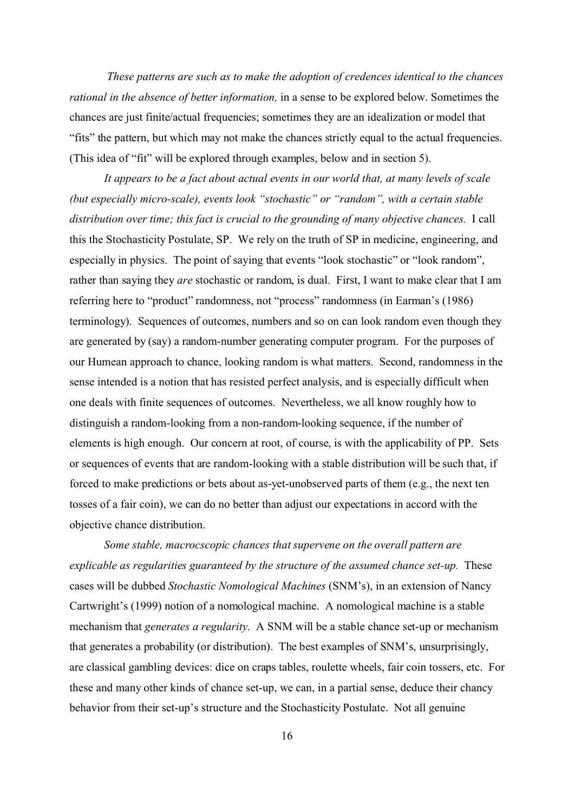*These patterns are such as to make the adoption of credences identical to the chances rational in the absence of better information,* in a sense to be explored below. Sometimes the chances are just finite/actual frequencies; sometimes they are an idealization or model that "fits" the pattern, but which may not make the chances strictly equal to the actual frequencies. (This idea of "fit" will be explored through examples, below and in section 5).

*It appears to be a fact about actual events in our world that, at many levels of scale (but especially micro-scale), events look "stochastic" or "random", with a certain stable distribution over time; this fact is crucial to the grounding of many objective chances.* I call this the Stochasticity Postulate, SP. We rely on the truth of SP in medicine, engineering, and especially in physics. The point of saying that events "look stochastic" or "look random", rather than saying they *are* stochastic or random, is dual. First, I want to make clear that I am referring here to "product" randomness, not "process" randomness (in Earman's (1986) terminology). Sequences of outcomes, numbers and so on can look random even though they are generated by (say) a random-number generating computer program. For the purposes of our Humean approach to chance, looking random is what matters. Second, randomness in the sense intended is a notion that has resisted perfect analysis, and is especially difficult when one deals with finite sequences of outcomes. Nevertheless, we all know roughly how to distinguish a random-looking from a non-random-looking sequence, if the number of elements is high enough. Our concern at root, of course, is with the applicability of PP. Sets or sequences of events that are random-looking with a stable distribution will be such that, if forced to make predictions or bets about as-yet-unobserved parts of them (e.g., the next ten tosses of a fair coin), we can do no better than adjust our expectations in accord with the objective chance distribution.

*Some stable, macrocscopic chances that supervene on the overall pattern are explicable as regularities guaranteed by the structure of the assumed chance set-up.* These cases will be dubbed *Stochastic Nomological Machines* (SNM's), in an extension of Nancy Cartwright's (1999) notion of a nomological machine. A nomological machine is a stable mechanism that *generates a regularity*. A SNM will be a stable chance set-up or mechanism that generates a probability (or distribution). The best examples of SNM's, unsurprisingly, are classical gambling devices: dice on craps tables, roulette wheels, fair coin tossers, etc. For these and many other kinds of chance set-up, we can, in a partial sense, deduce their chancy behavior from their set-up's structure and the Stochasticity Postulate. Not all genuine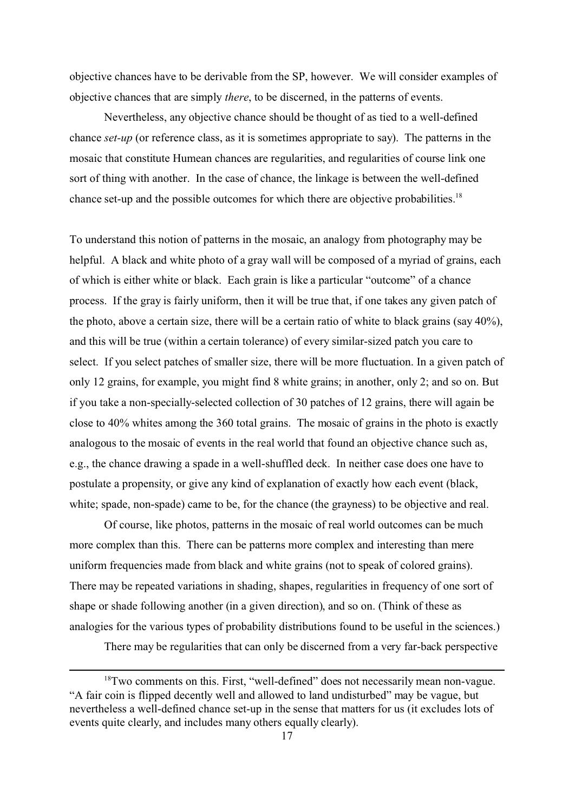objective chances have to be derivable from the SP, however. We will consider examples of objective chances that are simply *there*, to be discerned, in the patterns of events.

Nevertheless, any objective chance should be thought of as tied to a well-defined chance *set-up* (or reference class, as it is sometimes appropriate to say). The patterns in the mosaic that constitute Humean chances are regularities, and regularities of course link one sort of thing with another. In the case of chance, the linkage is between the well-defined chance set-up and the possible outcomes for which there are objective probabilities.<sup>18</sup>

To understand this notion of patterns in the mosaic, an analogy from photography may be helpful. A black and white photo of a gray wall will be composed of a myriad of grains, each of which is either white or black. Each grain is like a particular "outcome" of a chance process. If the gray is fairly uniform, then it will be true that, if one takes any given patch of the photo, above a certain size, there will be a certain ratio of white to black grains (say 40%), and this will be true (within a certain tolerance) of every similar-sized patch you care to select. If you select patches of smaller size, there will be more fluctuation. In a given patch of only 12 grains, for example, you might find 8 white grains; in another, only 2; and so on. But if you take a non-specially-selected collection of 30 patches of 12 grains, there will again be close to 40% whites among the 360 total grains. The mosaic of grains in the photo is exactly analogous to the mosaic of events in the real world that found an objective chance such as, e.g., the chance drawing a spade in a well-shuffled deck. In neither case does one have to postulate a propensity, or give any kind of explanation of exactly how each event (black, white; spade, non-spade) came to be, for the chance (the grayness) to be objective and real.

Of course, like photos, patterns in the mosaic of real world outcomes can be much more complex than this. There can be patterns more complex and interesting than mere uniform frequencies made from black and white grains (not to speak of colored grains). There may be repeated variations in shading, shapes, regularities in frequency of one sort of shape or shade following another (in a given direction), and so on. (Think of these as analogies for the various types of probability distributions found to be useful in the sciences.)

There may be regularities that can only be discerned from a very far-back perspective

<sup>&</sup>lt;sup>18</sup>Two comments on this. First, "well-defined" does not necessarily mean non-vague. "A fair coin is flipped decently well and allowed to land undisturbed" may be vague, but nevertheless a well-defined chance set-up in the sense that matters for us (it excludes lots of events quite clearly, and includes many others equally clearly).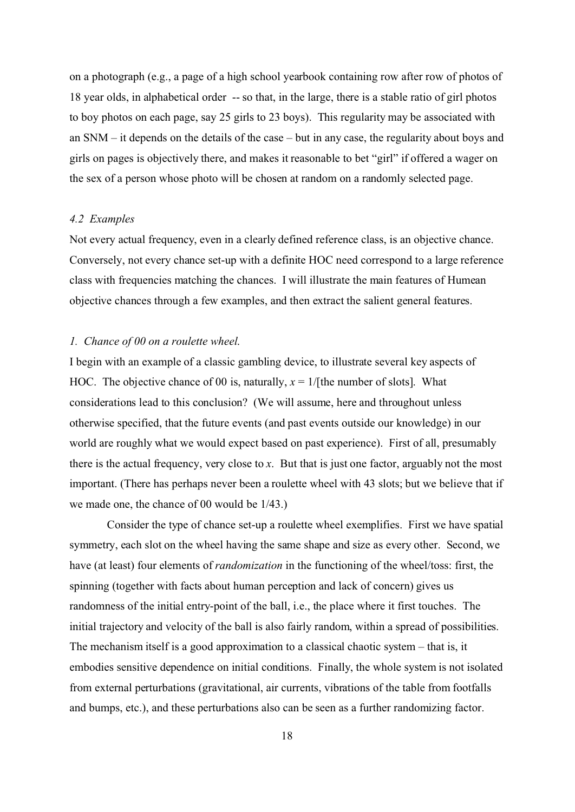on a photograph (e.g., a page of a high school yearbook containing row after row of photos of 18 year olds, in alphabetical order -- so that, in the large, there is a stable ratio of girl photos to boy photos on each page, say 25 girls to 23 boys). This regularity may be associated with an SNM – it depends on the details of the case – but in any case, the regularity about boys and girls on pages is objectively there, and makes it reasonable to bet "girl" if offered a wager on the sex of a person whose photo will be chosen at random on a randomly selected page.

#### *4.2 Examples*

Not every actual frequency, even in a clearly defined reference class, is an objective chance. Conversely, not every chance set-up with a definite HOC need correspond to a large reference class with frequencies matching the chances. I will illustrate the main features of Humean objective chances through a few examples, and then extract the salient general features.

### *1. Chance of 00 on a roulette wheel*.

I begin with an example of a classic gambling device, to illustrate several key aspects of HOC. The objective chance of 00 is, naturally,  $x = 1/$ [the number of slots]. What considerations lead to this conclusion? (We will assume, here and throughout unless otherwise specified, that the future events (and past events outside our knowledge) in our world are roughly what we would expect based on past experience). First of all, presumably there is the actual frequency, very close to *x*. But that is just one factor, arguably not the most important. (There has perhaps never been a roulette wheel with 43 slots; but we believe that if we made one, the chance of 00 would be 1/43.)

 Consider the type of chance set-up a roulette wheel exemplifies. First we have spatial symmetry, each slot on the wheel having the same shape and size as every other. Second, we have (at least) four elements of *randomization* in the functioning of the wheel/toss: first, the spinning (together with facts about human perception and lack of concern) gives us randomness of the initial entry-point of the ball, i.e., the place where it first touches. The initial trajectory and velocity of the ball is also fairly random, within a spread of possibilities. The mechanism itself is a good approximation to a classical chaotic system – that is, it embodies sensitive dependence on initial conditions. Finally, the whole system is not isolated from external perturbations (gravitational, air currents, vibrations of the table from footfalls and bumps, etc.), and these perturbations also can be seen as a further randomizing factor.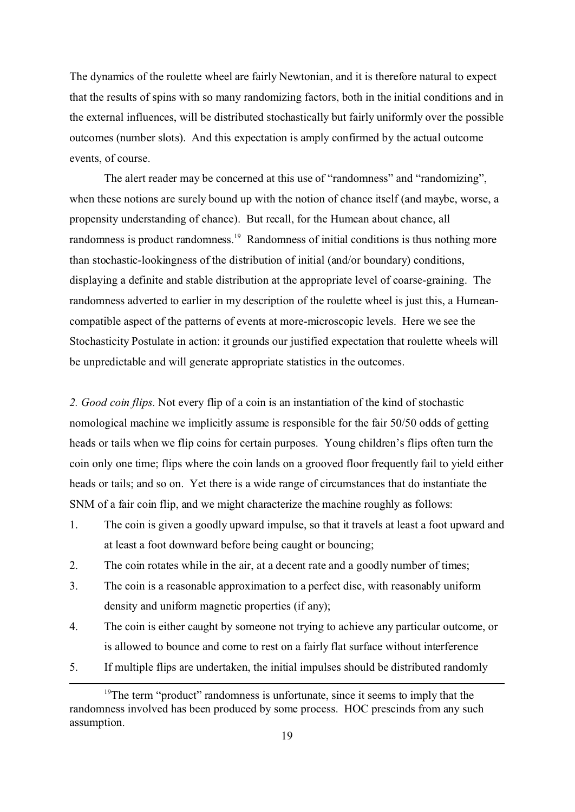The dynamics of the roulette wheel are fairly Newtonian, and it is therefore natural to expect that the results of spins with so many randomizing factors, both in the initial conditions and in the external influences, will be distributed stochastically but fairly uniformly over the possible outcomes (number slots). And this expectation is amply confirmed by the actual outcome events, of course.

The alert reader may be concerned at this use of "randomness" and "randomizing", when these notions are surely bound up with the notion of chance itself (and maybe, worse, a propensity understanding of chance). But recall, for the Humean about chance, all randomness is product randomness.<sup>19</sup> Randomness of initial conditions is thus nothing more than stochastic-lookingness of the distribution of initial (and/or boundary) conditions, displaying a definite and stable distribution at the appropriate level of coarse-graining. The randomness adverted to earlier in my description of the roulette wheel is just this, a Humeancompatible aspect of the patterns of events at more-microscopic levels. Here we see the Stochasticity Postulate in action: it grounds our justified expectation that roulette wheels will be unpredictable and will generate appropriate statistics in the outcomes.

*2. Good coin flips.* Not every flip of a coin is an instantiation of the kind of stochastic nomological machine we implicitly assume is responsible for the fair 50/50 odds of getting heads or tails when we flip coins for certain purposes. Young children's flips often turn the coin only one time; flips where the coin lands on a grooved floor frequently fail to yield either heads or tails; and so on. Yet there is a wide range of circumstances that do instantiate the SNM of a fair coin flip, and we might characterize the machine roughly as follows:

- 1. The coin is given a goodly upward impulse, so that it travels at least a foot upward and at least a foot downward before being caught or bouncing;
- 2. The coin rotates while in the air, at a decent rate and a goodly number of times;
- 3. The coin is a reasonable approximation to a perfect disc, with reasonably uniform density and uniform magnetic properties (if any);
- 4. The coin is either caught by someone not trying to achieve any particular outcome, or is allowed to bounce and come to rest on a fairly flat surface without interference
- 5. If multiple flips are undertaken, the initial impulses should be distributed randomly

 $19$ <sup>19</sup>The term "product" randomness is unfortunate, since it seems to imply that the randomness involved has been produced by some process. HOC prescinds from any such assumption.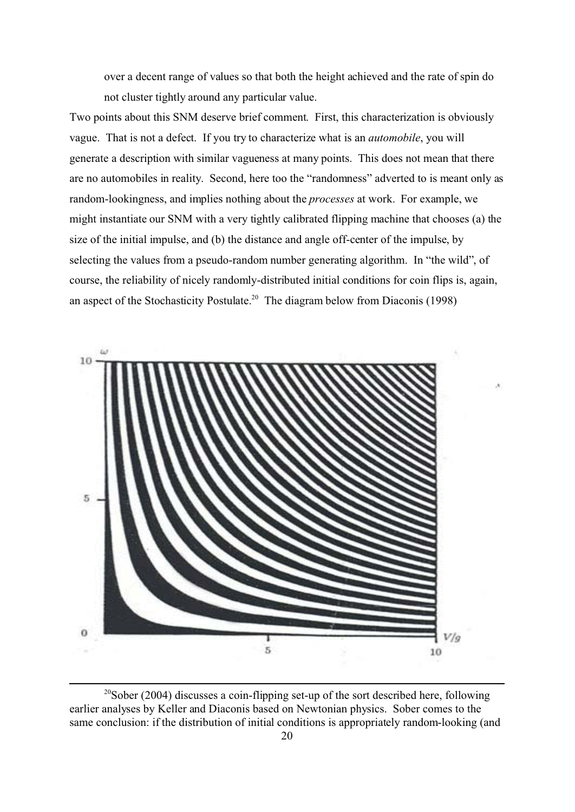over a decent range of values so that both the height achieved and the rate of spin do not cluster tightly around any particular value.

Two points about this SNM deserve brief comment. First, this characterization is obviously vague. That is not a defect. If you try to characterize what is an *automobile*, you will generate a description with similar vagueness at many points. This does not mean that there are no automobiles in reality. Second, here too the "randomness" adverted to is meant only as random-lookingness, and implies nothing about the *processes* at work. For example, we might instantiate our SNM with a very tightly calibrated flipping machine that chooses (a) the size of the initial impulse, and (b) the distance and angle off-center of the impulse, by selecting the values from a pseudo-random number generating algorithm. In "the wild", of course, the reliability of nicely randomly-distributed initial conditions for coin flips is, again, an aspect of the Stochasticity Postulate.<sup>20</sup> The diagram below from Diaconis (1998)



<sup>&</sup>lt;sup>20</sup>Sober (2004) discusses a coin-flipping set-up of the sort described here, following earlier analyses by Keller and Diaconis based on Newtonian physics. Sober comes to the same conclusion: if the distribution of initial conditions is appropriately random-looking (and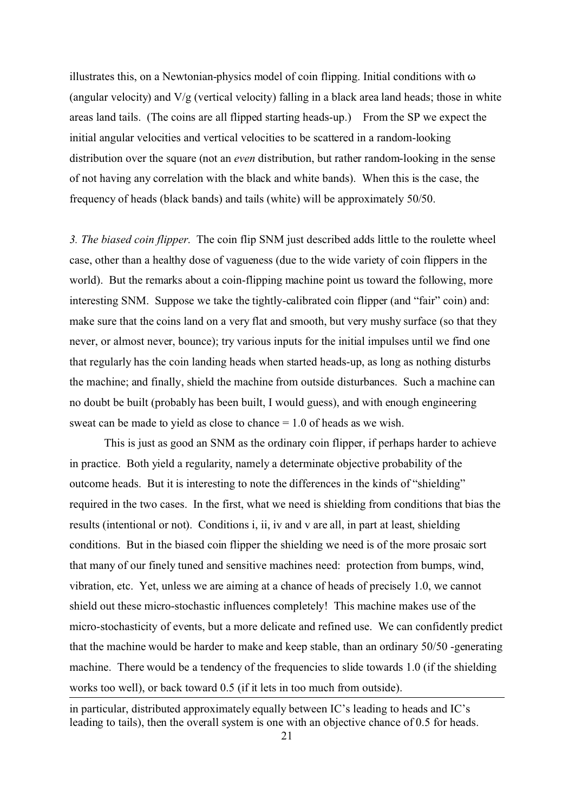illustrates this, on a Newtonian-physics model of coin flipping. Initial conditions with  $\omega$ (angular velocity) and V/g (vertical velocity) falling in a black area land heads; those in white areas land tails. (The coins are all flipped starting heads-up.) From the SP we expect the initial angular velocities and vertical velocities to be scattered in a random-looking distribution over the square (not an *even* distribution, but rather random-looking in the sense of not having any correlation with the black and white bands). When this is the case, the frequency of heads (black bands) and tails (white) will be approximately 50/50.

*3. The biased coin flipper*. The coin flip SNM just described adds little to the roulette wheel case, other than a healthy dose of vagueness (due to the wide variety of coin flippers in the world). But the remarks about a coin-flipping machine point us toward the following, more interesting SNM. Suppose we take the tightly-calibrated coin flipper (and "fair" coin) and: make sure that the coins land on a very flat and smooth, but very mushy surface (so that they never, or almost never, bounce); try various inputs for the initial impulses until we find one that regularly has the coin landing heads when started heads-up, as long as nothing disturbs the machine; and finally, shield the machine from outside disturbances. Such a machine can no doubt be built (probably has been built, I would guess), and with enough engineering sweat can be made to yield as close to chance = 1.0 of heads as we wish.

This is just as good an SNM as the ordinary coin flipper, if perhaps harder to achieve in practice. Both yield a regularity, namely a determinate objective probability of the outcome heads. But it is interesting to note the differences in the kinds of "shielding" required in the two cases. In the first, what we need is shielding from conditions that bias the results (intentional or not). Conditions i, ii, iv and v are all, in part at least, shielding conditions. But in the biased coin flipper the shielding we need is of the more prosaic sort that many of our finely tuned and sensitive machines need: protection from bumps, wind, vibration, etc. Yet, unless we are aiming at a chance of heads of precisely 1.0, we cannot shield out these micro-stochastic influences completely! This machine makes use of the micro-stochasticity of events, but a more delicate and refined use. We can confidently predict that the machine would be harder to make and keep stable, than an ordinary 50/50 -generating machine. There would be a tendency of the frequencies to slide towards 1.0 (if the shielding works too well), or back toward 0.5 (if it lets in too much from outside).

in particular, distributed approximately equally between IC's leading to heads and IC's leading to tails), then the overall system is one with an objective chance of 0.5 for heads.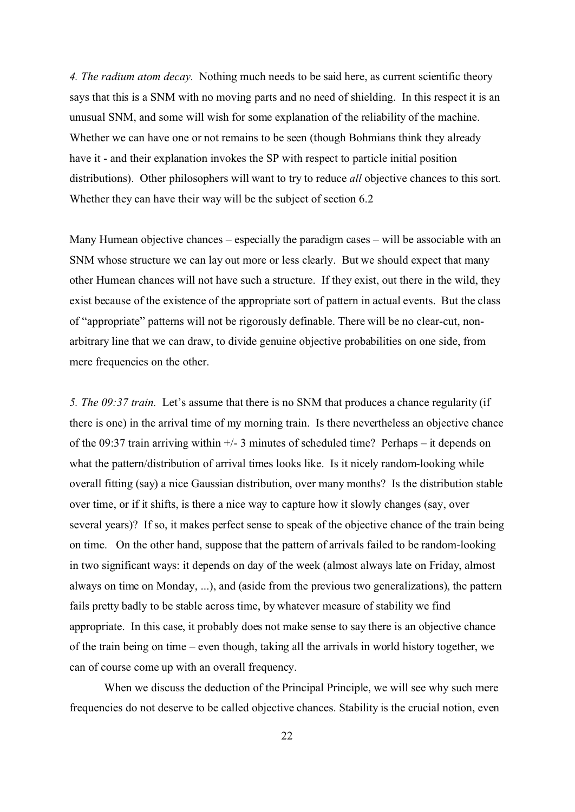*4. The radium atom decay.* Nothing much needs to be said here, as current scientific theory says that this is a SNM with no moving parts and no need of shielding. In this respect it is an unusual SNM, and some will wish for some explanation of the reliability of the machine. Whether we can have one or not remains to be seen (though Bohmians think they already have it - and their explanation invokes the SP with respect to particle initial position distributions). Other philosophers will want to try to reduce *all* objective chances to this sort. Whether they can have their way will be the subject of section 6.2

Many Humean objective chances – especially the paradigm cases – will be associable with an SNM whose structure we can lay out more or less clearly. But we should expect that many other Humean chances will not have such a structure. If they exist, out there in the wild, they exist because of the existence of the appropriate sort of pattern in actual events. But the class of "appropriate" patterns will not be rigorously definable. There will be no clear-cut, nonarbitrary line that we can draw, to divide genuine objective probabilities on one side, from mere frequencies on the other.

*5. The 09:37 train.* Let's assume that there is no SNM that produces a chance regularity (if there is one) in the arrival time of my morning train. Is there nevertheless an objective chance of the 09:37 train arriving within +/- 3 minutes of scheduled time? Perhaps – it depends on what the pattern/distribution of arrival times looks like. Is it nicely random-looking while overall fitting (say) a nice Gaussian distribution, over many months? Is the distribution stable over time, or if it shifts, is there a nice way to capture how it slowly changes (say, over several years)? If so, it makes perfect sense to speak of the objective chance of the train being on time. On the other hand, suppose that the pattern of arrivals failed to be random-looking in two significant ways: it depends on day of the week (almost always late on Friday, almost always on time on Monday, ...), and (aside from the previous two generalizations), the pattern fails pretty badly to be stable across time, by whatever measure of stability we find appropriate. In this case, it probably does not make sense to say there is an objective chance of the train being on time – even though, taking all the arrivals in world history together, we can of course come up with an overall frequency.

When we discuss the deduction of the Principal Principle, we will see why such mere frequencies do not deserve to be called objective chances. Stability is the crucial notion, even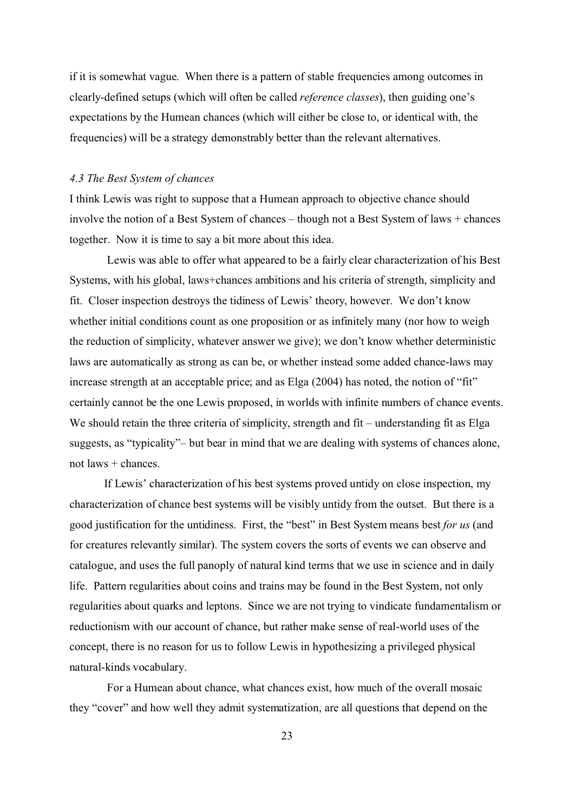if it is somewhat vague. When there is a pattern of stable frequencies among outcomes in clearly-defined setups (which will often be called *reference classes*), then guiding one's expectations by the Humean chances (which will either be close to, or identical with, the frequencies) will be a strategy demonstrably better than the relevant alternatives.

### *4.3 The Best System of chances*

I think Lewis was right to suppose that a Humean approach to objective chance should involve the notion of a Best System of chances – though not a Best System of laws + chances together. Now it is time to say a bit more about this idea.

 Lewis was able to offer what appeared to be a fairly clear characterization of his Best Systems, with his global, laws+chances ambitions and his criteria of strength, simplicity and fit. Closer inspection destroys the tidiness of Lewis' theory, however. We don't know whether initial conditions count as one proposition or as infinitely many (nor how to weigh the reduction of simplicity, whatever answer we give); we don't know whether deterministic laws are automatically as strong as can be, or whether instead some added chance-laws may increase strength at an acceptable price; and as Elga (2004) has noted, the notion of "fit" certainly cannot be the one Lewis proposed, in worlds with infinite numbers of chance events. We should retain the three criteria of simplicity, strength and fit – understanding fit as Elga suggests, as "typicality"– but bear in mind that we are dealing with systems of chances alone, not laws + chances.

If Lewis' characterization of his best systems proved untidy on close inspection, my characterization of chance best systems will be visibly untidy from the outset. But there is a good justification for the untidiness. First, the "best" in Best System means best *for us* (and for creatures relevantly similar). The system covers the sorts of events we can observe and catalogue, and uses the full panoply of natural kind terms that we use in science and in daily life. Pattern regularities about coins and trains may be found in the Best System, not only regularities about quarks and leptons. Since we are not trying to vindicate fundamentalism or reductionism with our account of chance, but rather make sense of real-world uses of the concept, there is no reason for us to follow Lewis in hypothesizing a privileged physical natural-kinds vocabulary.

 For a Humean about chance, what chances exist, how much of the overall mosaic they "cover" and how well they admit systematization, are all questions that depend on the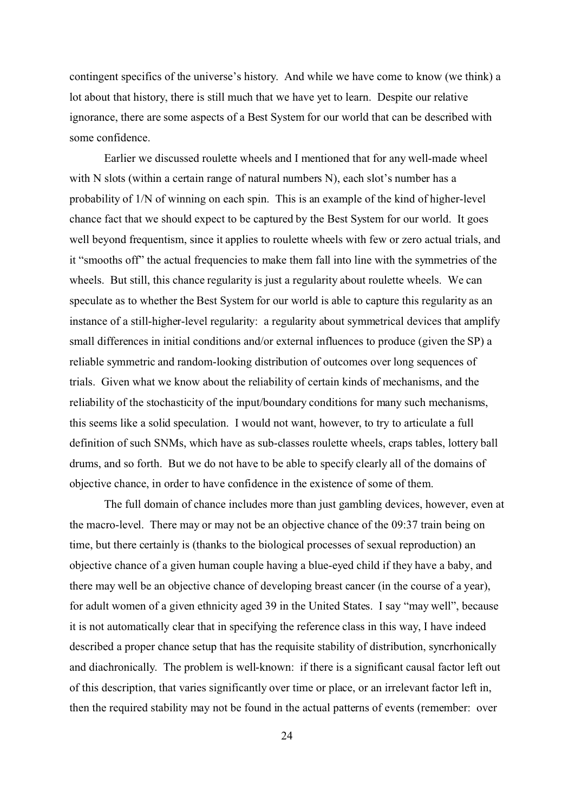contingent specifics of the universe's history. And while we have come to know (we think) a lot about that history, there is still much that we have yet to learn. Despite our relative ignorance, there are some aspects of a Best System for our world that can be described with some confidence.

Earlier we discussed roulette wheels and I mentioned that for any well-made wheel with N slots (within a certain range of natural numbers N), each slot's number has a probability of 1/N of winning on each spin. This is an example of the kind of higher-level chance fact that we should expect to be captured by the Best System for our world. It goes well beyond frequentism, since it applies to roulette wheels with few or zero actual trials, and it "smooths off" the actual frequencies to make them fall into line with the symmetries of the wheels. But still, this chance regularity is just a regularity about roulette wheels. We can speculate as to whether the Best System for our world is able to capture this regularity as an instance of a still-higher-level regularity: a regularity about symmetrical devices that amplify small differences in initial conditions and/or external influences to produce (given the SP) a reliable symmetric and random-looking distribution of outcomes over long sequences of trials. Given what we know about the reliability of certain kinds of mechanisms, and the reliability of the stochasticity of the input/boundary conditions for many such mechanisms, this seems like a solid speculation. I would not want, however, to try to articulate a full definition of such SNMs, which have as sub-classes roulette wheels, craps tables, lottery ball drums, and so forth. But we do not have to be able to specify clearly all of the domains of objective chance, in order to have confidence in the existence of some of them.

The full domain of chance includes more than just gambling devices, however, even at the macro-level. There may or may not be an objective chance of the 09:37 train being on time, but there certainly is (thanks to the biological processes of sexual reproduction) an objective chance of a given human couple having a blue-eyed child if they have a baby, and there may well be an objective chance of developing breast cancer (in the course of a year), for adult women of a given ethnicity aged 39 in the United States. I say "may well", because it is not automatically clear that in specifying the reference class in this way, I have indeed described a proper chance setup that has the requisite stability of distribution, syncrhonically and diachronically. The problem is well-known: if there is a significant causal factor left out of this description, that varies significantly over time or place, or an irrelevant factor left in, then the required stability may not be found in the actual patterns of events (remember: over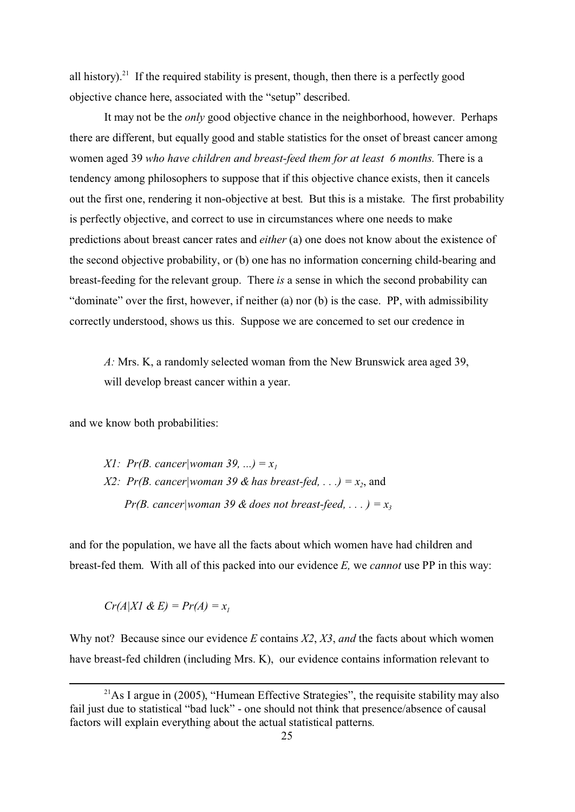all history).<sup>21</sup> If the required stability is present, though, then there is a perfectly good objective chance here, associated with the "setup" described.

It may not be the *only* good objective chance in the neighborhood, however. Perhaps there are different, but equally good and stable statistics for the onset of breast cancer among women aged 39 *who have children and breast-feed them for at least 6 months.* There is a tendency among philosophers to suppose that if this objective chance exists, then it cancels out the first one, rendering it non-objective at best. But this is a mistake. The first probability is perfectly objective, and correct to use in circumstances where one needs to make predictions about breast cancer rates and *either* (a) one does not know about the existence of the second objective probability, or (b) one has no information concerning child-bearing and breast-feeding for the relevant group. There *is* a sense in which the second probability can "dominate" over the first, however, if neither (a) nor (b) is the case. PP, with admissibility correctly understood, shows us this. Suppose we are concerned to set our credence in

*A:* Mrs. K, a randomly selected woman from the New Brunswick area aged 39, will develop breast cancer within a year.

and we know both probabilities:

*X1: Pr(B. cancer|woman 39, ...) = x<sup>1</sup> X2: Pr(B. cancer|woman 39 & has breast-fed, . . .)* =  $x_2$ , and *Pr(B. cancer|woman 39 & does not breast-feed, ...)* =  $x_3$ 

and for the population, we have all the facts about which women have had children and breast-fed them. With all of this packed into our evidence *E,* we *cannot* use PP in this way:

 $Cr(A|X1 \& E) = Pr(A) = x_1$ 

Why not? Because since our evidence *E* contains *X2*, *X3*, *and* the facts about which women have breast-fed children (including Mrs. K), our evidence contains information relevant to

<sup>&</sup>lt;sup>21</sup>As I argue in (2005), "Humean Effective Strategies", the requisite stability may also fail just due to statistical "bad luck" - one should not think that presence/absence of causal factors will explain everything about the actual statistical patterns.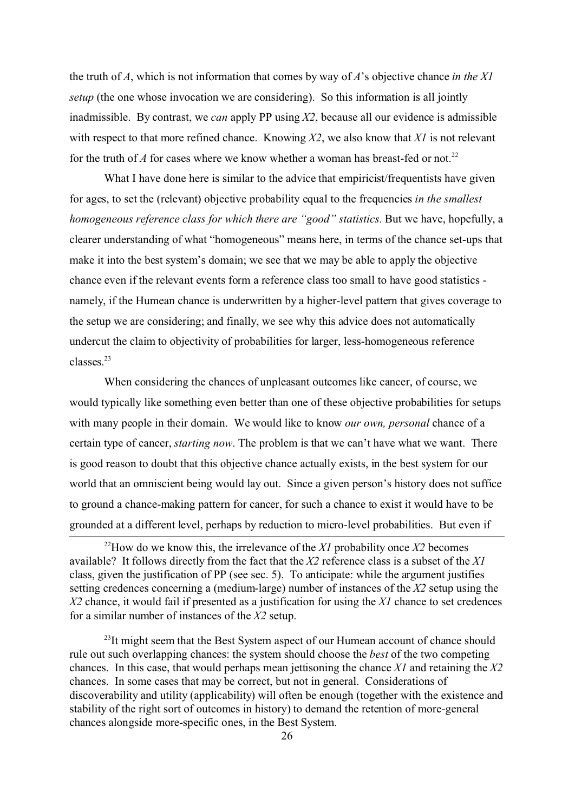the truth of *A*, which is not information that comes by way of *A*'s objective chance *in the X1 setup* (the one whose invocation we are considering). So this information is all jointly inadmissible. By contrast, we *can* apply PP using *X2*, because all our evidence is admissible with respect to that more refined chance. Knowing *X2*, we also know that *X1* is not relevant for the truth of *A* for cases where we know whether a woman has breast-fed or not.<sup>22</sup>

What I have done here is similar to the advice that empiricist/frequentists have given for ages, to set the (relevant) objective probability equal to the frequencies *in the smallest homogeneous reference class for which there are "good" statistics.* But we have, hopefully, a clearer understanding of what "homogeneous" means here, in terms of the chance set-ups that make it into the best system's domain; we see that we may be able to apply the objective chance even if the relevant events form a reference class too small to have good statistics namely, if the Humean chance is underwritten by a higher-level pattern that gives coverage to the setup we are considering; and finally, we see why this advice does not automatically undercut the claim to objectivity of probabilities for larger, less-homogeneous reference classes.<sup>23</sup>

When considering the chances of unpleasant outcomes like cancer, of course, we would typically like something even better than one of these objective probabilities for setups with many people in their domain. We would like to know *our own, personal* chance of a certain type of cancer, *starting now*. The problem is that we can't have what we want. There is good reason to doubt that this objective chance actually exists, in the best system for our world that an omniscient being would lay out. Since a given person's history does not suffice to ground a chance-making pattern for cancer, for such a chance to exist it would have to be grounded at a different level, perhaps by reduction to micro-level probabilities. But even if

<sup>22</sup>How do we know this, the irrelevance of the  $XI$  probability once  $X2$  becomes available? It follows directly from the fact that the *X2* reference class is a subset of the *X1* class, given the justification of PP (see sec. 5). To anticipate: while the argument justifies setting credences concerning a (medium-large) number of instances of the *X2* setup using the *X2* chance, it would fail if presented as a justification for using the *X1* chance to set credences for a similar number of instances of the *X2* setup.

 $^{23}$ It might seem that the Best System aspect of our Humean account of chance should rule out such overlapping chances: the system should choose the *best* of the two competing chances. In this case, that would perhaps mean jettisoning the chance *X1* and retaining the *X2* chances. In some cases that may be correct, but not in general. Considerations of discoverability and utility (applicability) will often be enough (together with the existence and stability of the right sort of outcomes in history) to demand the retention of more-general chances alongside more-specific ones, in the Best System.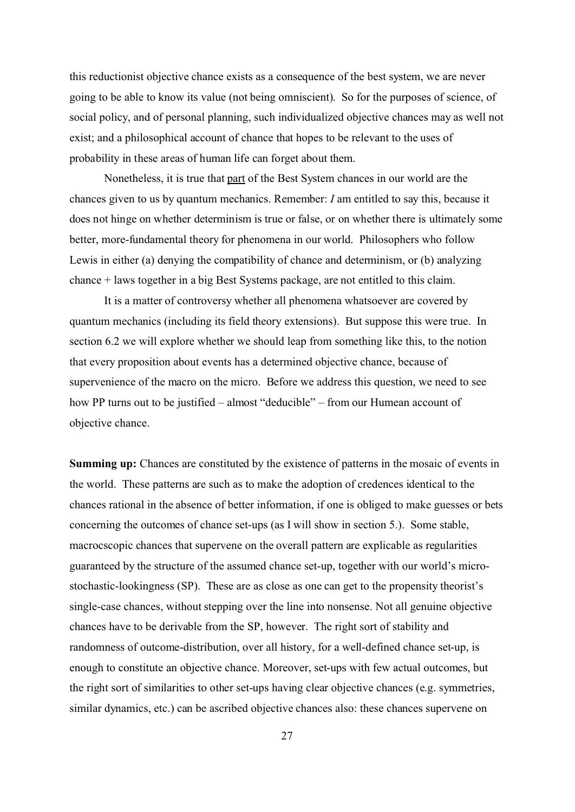this reductionist objective chance exists as a consequence of the best system, we are never going to be able to know its value (not being omniscient). So for the purposes of science, of social policy, and of personal planning, such individualized objective chances may as well not exist; and a philosophical account of chance that hopes to be relevant to the uses of probability in these areas of human life can forget about them.

Nonetheless, it is true that part of the Best System chances in our world are the chances given to us by quantum mechanics. Remember: *I* am entitled to say this, because it does not hinge on whether determinism is true or false, or on whether there is ultimately some better, more-fundamental theory for phenomena in our world. Philosophers who follow Lewis in either (a) denying the compatibility of chance and determinism, or (b) analyzing chance + laws together in a big Best Systems package, are not entitled to this claim.

It is a matter of controversy whether all phenomena whatsoever are covered by quantum mechanics (including its field theory extensions). But suppose this were true. In section 6.2 we will explore whether we should leap from something like this, to the notion that every proposition about events has a determined objective chance, because of supervenience of the macro on the micro. Before we address this question, we need to see how PP turns out to be justified – almost "deducible" – from our Humean account of objective chance.

**Summing up:** Chances are constituted by the existence of patterns in the mosaic of events in the world. These patterns are such as to make the adoption of credences identical to the chances rational in the absence of better information, if one is obliged to make guesses or bets concerning the outcomes of chance set-ups (as I will show in section 5.). Some stable, macrocscopic chances that supervene on the overall pattern are explicable as regularities guaranteed by the structure of the assumed chance set-up, together with our world's microstochastic-lookingness (SP). These are as close as one can get to the propensity theorist's single-case chances, without stepping over the line into nonsense. Not all genuine objective chances have to be derivable from the SP, however. The right sort of stability and randomness of outcome-distribution, over all history, for a well-defined chance set-up, is enough to constitute an objective chance. Moreover, set-ups with few actual outcomes, but the right sort of similarities to other set-ups having clear objective chances (e.g. symmetries, similar dynamics, etc.) can be ascribed objective chances also: these chances supervene on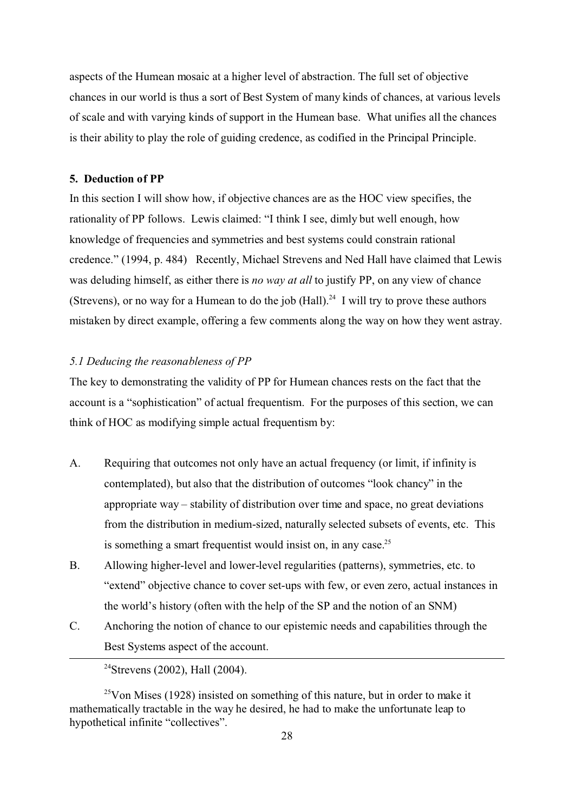aspects of the Humean mosaic at a higher level of abstraction. The full set of objective chances in our world is thus a sort of Best System of many kinds of chances, at various levels of scale and with varying kinds of support in the Humean base. What unifies all the chances is their ability to play the role of guiding credence, as codified in the Principal Principle.

# **5. Deduction of PP**

In this section I will show how, if objective chances are as the HOC view specifies, the rationality of PP follows. Lewis claimed: "I think I see, dimly but well enough, how knowledge of frequencies and symmetries and best systems could constrain rational credence." (1994, p. 484) Recently, Michael Strevens and Ned Hall have claimed that Lewis was deluding himself, as either there is *no way at all* to justify PP, on any view of chance (Strevens), or no way for a Humean to do the job  $(Hall)$ .<sup>24</sup> I will try to prove these authors mistaken by direct example, offering a few comments along the way on how they went astray.

### *5.1 Deducing the reasonableness of PP*

The key to demonstrating the validity of PP for Humean chances rests on the fact that the account is a "sophistication" of actual frequentism. For the purposes of this section, we can think of HOC as modifying simple actual frequentism by:

- A. Requiring that outcomes not only have an actual frequency (or limit, if infinity is contemplated), but also that the distribution of outcomes "look chancy" in the appropriate way – stability of distribution over time and space, no great deviations from the distribution in medium-sized, naturally selected subsets of events, etc. This is something a smart frequentist would insist on, in any case.<sup>25</sup>
- B. Allowing higher-level and lower-level regularities (patterns), symmetries, etc. to "extend" objective chance to cover set-ups with few, or even zero, actual instances in the world's history (often with the help of the SP and the notion of an SNM)
- C. Anchoring the notion of chance to our epistemic needs and capabilities through the Best Systems aspect of the account.

<sup>&</sup>lt;sup>24</sup>Strevens (2002), Hall (2004).

 $25$ Von Mises (1928) insisted on something of this nature, but in order to make it mathematically tractable in the way he desired, he had to make the unfortunate leap to hypothetical infinite "collectives".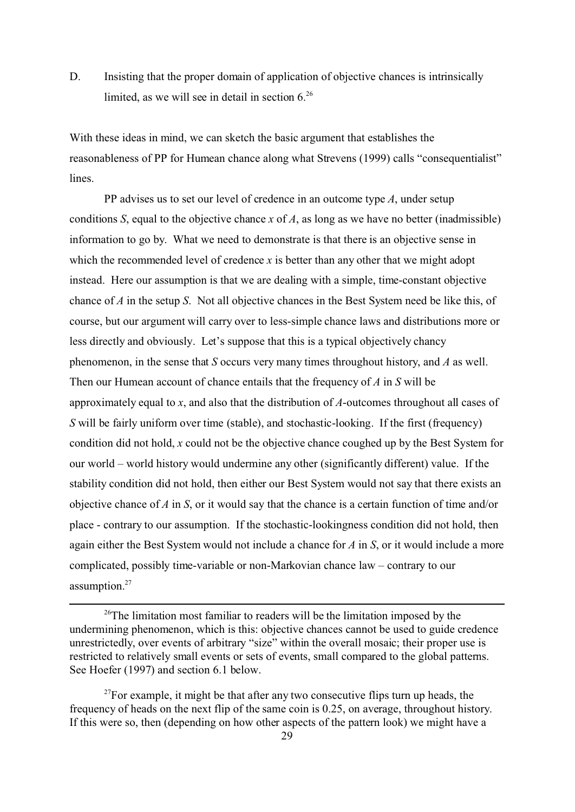D. Insisting that the proper domain of application of objective chances is intrinsically limited, as we will see in detail in section  $6.^{26}$ 

With these ideas in mind, we can sketch the basic argument that establishes the reasonableness of PP for Humean chance along what Strevens (1999) calls "consequentialist" lines.

PP advises us to set our level of credence in an outcome type *A*, under setup conditions *S*, equal to the objective chance *x* of *A*, as long as we have no better (inadmissible) information to go by. What we need to demonstrate is that there is an objective sense in which the recommended level of credence *x* is better than any other that we might adopt instead. Here our assumption is that we are dealing with a simple, time-constant objective chance of *A* in the setup *S*. Not all objective chances in the Best System need be like this, of course, but our argument will carry over to less-simple chance laws and distributions more or less directly and obviously. Let's suppose that this is a typical objectively chancy phenomenon, in the sense that *S* occurs very many times throughout history, and *A* as well. Then our Humean account of chance entails that the frequency of *A* in *S* will be approximately equal to *x*, and also that the distribution of *A*-outcomes throughout all cases of *S* will be fairly uniform over time (stable), and stochastic-looking. If the first (frequency) condition did not hold, *x* could not be the objective chance coughed up by the Best System for our world – world history would undermine any other (significantly different) value. If the stability condition did not hold, then either our Best System would not say that there exists an objective chance of *A* in *S*, or it would say that the chance is a certain function of time and/or place - contrary to our assumption. If the stochastic-lookingness condition did not hold, then again either the Best System would not include a chance for *A* in *S*, or it would include a more complicated, possibly time-variable or non-Markovian chance law – contrary to our assumption.<sup>27</sup>

<sup>&</sup>lt;sup>26</sup>The limitation most familiar to readers will be the limitation imposed by the undermining phenomenon, which is this: objective chances cannot be used to guide credence unrestrictedly, over events of arbitrary "size" within the overall mosaic; their proper use is restricted to relatively small events or sets of events, small compared to the global patterns. See Hoefer (1997) and section 6.1 below.

 $27$ For example, it might be that after any two consecutive flips turn up heads, the frequency of heads on the next flip of the same coin is 0.25, on average, throughout history. If this were so, then (depending on how other aspects of the pattern look) we might have a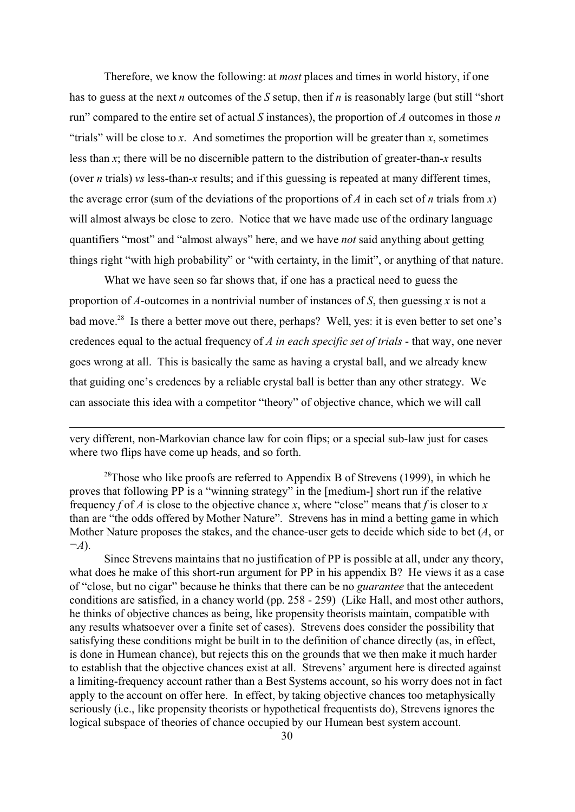Therefore, we know the following: at *most* places and times in world history, if one has to guess at the next *n* outcomes of the *S* setup, then if *n* is reasonably large (but still "short run" compared to the entire set of actual *S* instances), the proportion of *A* outcomes in those *n* "trials" will be close to *x*. And sometimes the proportion will be greater than *x*, sometimes less than *x*; there will be no discernible pattern to the distribution of greater-than-*x* results (over *n* trials) *vs* less-than-*x* results; and if this guessing is repeated at many different times, the average error (sum of the deviations of the proportions of *A* in each set of *n* trials from *x*) will almost always be close to zero. Notice that we have made use of the ordinary language quantifiers "most" and "almost always" here, and we have *not* said anything about getting things right "with high probability" or "with certainty, in the limit", or anything of that nature.

What we have seen so far shows that, if one has a practical need to guess the proportion of *A*-outcomes in a nontrivial number of instances of *S*, then guessing *x* is not a bad move.<sup>28</sup> Is there a better move out there, perhaps? Well, yes: it is even better to set one's credences equal to the actual frequency of *A in each specific set of trials* - that way, one never goes wrong at all. This is basically the same as having a crystal ball, and we already knew that guiding one's credences by a reliable crystal ball is better than any other strategy. We can associate this idea with a competitor "theory" of objective chance, which we will call

very different, non-Markovian chance law for coin flips; or a special sub-law just for cases where two flips have come up heads, and so forth.

 $28$ Those who like proofs are referred to Appendix B of Strevens (1999), in which he proves that following PP is a "winning strategy" in the [medium-] short run if the relative frequency *f* of *A* is close to the objective chance *x*, where "close" means that *f* is closer to *x* than are "the odds offered by Mother Nature". Strevens has in mind a betting game in which Mother Nature proposes the stakes, and the chance-user gets to decide which side to bet (*A*, or *¬A*).

Since Strevens maintains that no justification of PP is possible at all, under any theory, what does he make of this short-run argument for PP in his appendix B? He views it as a case of "close, but no cigar" because he thinks that there can be no *guarantee* that the antecedent conditions are satisfied, in a chancy world (pp. 258 - 259) (Like Hall, and most other authors, he thinks of objective chances as being, like propensity theorists maintain, compatible with any results whatsoever over a finite set of cases). Strevens does consider the possibility that satisfying these conditions might be built in to the definition of chance directly (as, in effect, is done in Humean chance), but rejects this on the grounds that we then make it much harder to establish that the objective chances exist at all. Strevens' argument here is directed against a limiting-frequency account rather than a Best Systems account, so his worry does not in fact apply to the account on offer here. In effect, by taking objective chances too metaphysically seriously (i.e., like propensity theorists or hypothetical frequentists do), Strevens ignores the logical subspace of theories of chance occupied by our Humean best system account.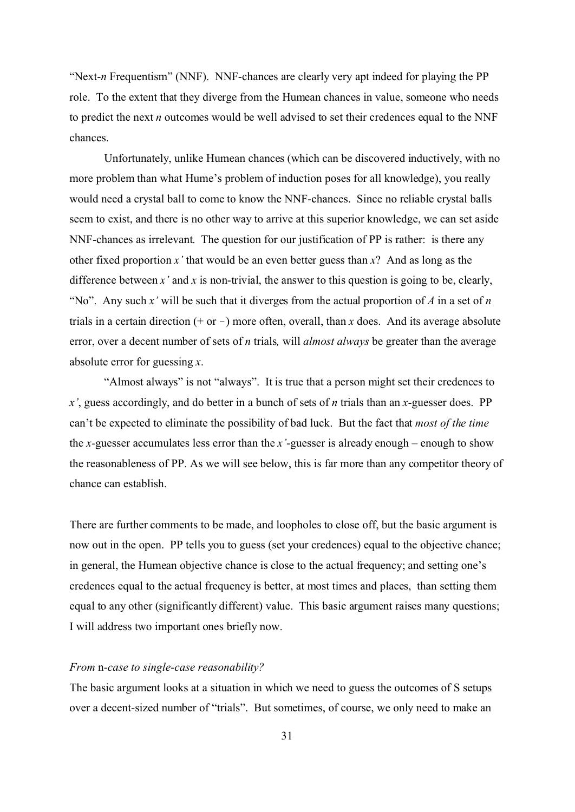"Next-*n* Frequentism" (NNF). NNF-chances are clearly very apt indeed for playing the PP role. To the extent that they diverge from the Humean chances in value, someone who needs to predict the next *n* outcomes would be well advised to set their credences equal to the NNF chances.

Unfortunately, unlike Humean chances (which can be discovered inductively, with no more problem than what Hume's problem of induction poses for all knowledge), you really would need a crystal ball to come to know the NNF-chances. Since no reliable crystal balls seem to exist, and there is no other way to arrive at this superior knowledge, we can set aside NNF-chances as irrelevant. The question for our justification of PP is rather: is there any other fixed proportion *x'* that would be an even better guess than *x*? And as long as the difference between  $x'$  and  $x$  is non-trivial, the answer to this question is going to be, clearly, "No". Any such *x'* will be such that it diverges from the actual proportion of *A* in a set of *n* trials in a certain direction  $(+)$  or  $-)$  more often, overall, than *x* does. And its average absolute error, over a decent number of sets of *n* trials*,* will *almost always* be greater than the average absolute error for guessing *x*.

"Almost always" is not "always". It is true that a person might set their credences to *x'*, guess accordingly, and do better in a bunch of sets of *n* trials than an *x*-guesser does. PP can't be expected to eliminate the possibility of bad luck. But the fact that *most of the time* the *x-*guesser accumulates less error than the *x'*-guesser is already enough – enough to show the reasonableness of PP. As we will see below, this is far more than any competitor theory of chance can establish.

There are further comments to be made, and loopholes to close off, but the basic argument is now out in the open. PP tells you to guess (set your credences) equal to the objective chance; in general, the Humean objective chance is close to the actual frequency; and setting one's credences equal to the actual frequency is better, at most times and places, than setting them equal to any other (significantly different) value. This basic argument raises many questions; I will address two important ones briefly now.

# *From* n*-case to single-case reasonability?*

The basic argument looks at a situation in which we need to guess the outcomes of S setups over a decent-sized number of "trials". But sometimes, of course, we only need to make an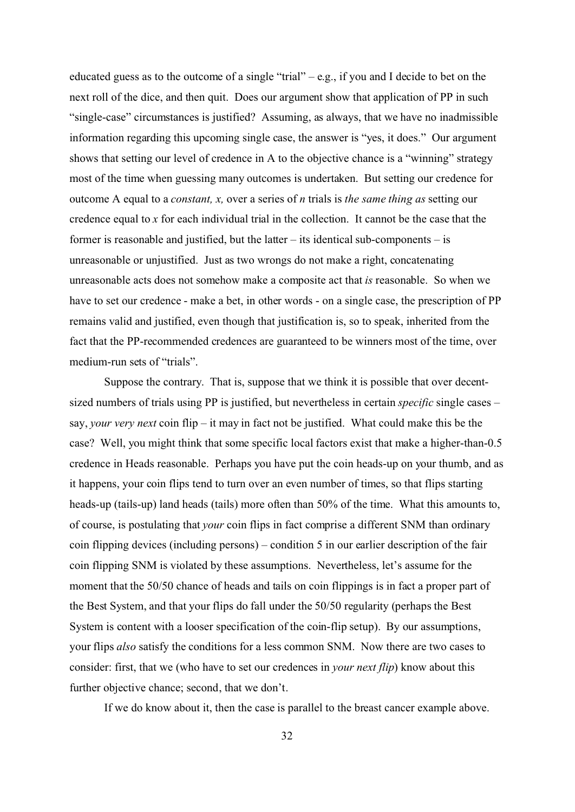educated guess as to the outcome of a single "trial" – e.g., if you and I decide to bet on the next roll of the dice, and then quit. Does our argument show that application of PP in such "single-case" circumstances is justified? Assuming, as always, that we have no inadmissible information regarding this upcoming single case, the answer is "yes, it does." Our argument shows that setting our level of credence in A to the objective chance is a "winning" strategy most of the time when guessing many outcomes is undertaken. But setting our credence for outcome A equal to a *constant, x,* over a series of *n* trials is *the same thing as* setting our credence equal to *x* for each individual trial in the collection. It cannot be the case that the former is reasonable and justified, but the latter – its identical sub-components – is unreasonable or unjustified. Just as two wrongs do not make a right, concatenating unreasonable acts does not somehow make a composite act that *is* reasonable. So when we have to set our credence - make a bet, in other words - on a single case, the prescription of PP remains valid and justified, even though that justification is, so to speak, inherited from the fact that the PP-recommended credences are guaranteed to be winners most of the time, over medium-run sets of "trials".

Suppose the contrary. That is, suppose that we think it is possible that over decentsized numbers of trials using PP is justified, but nevertheless in certain *specific* single cases – say, *your very next* coin flip – it may in fact not be justified. What could make this be the case? Well, you might think that some specific local factors exist that make a higher-than-0.5 credence in Heads reasonable. Perhaps you have put the coin heads-up on your thumb, and as it happens, your coin flips tend to turn over an even number of times, so that flips starting heads-up (tails-up) land heads (tails) more often than 50% of the time. What this amounts to, of course, is postulating that *your* coin flips in fact comprise a different SNM than ordinary coin flipping devices (including persons) – condition 5 in our earlier description of the fair coin flipping SNM is violated by these assumptions. Nevertheless, let's assume for the moment that the 50/50 chance of heads and tails on coin flippings is in fact a proper part of the Best System, and that your flips do fall under the 50/50 regularity (perhaps the Best System is content with a looser specification of the coin-flip setup). By our assumptions, your flips *also* satisfy the conditions for a less common SNM. Now there are two cases to consider: first, that we (who have to set our credences in *your next flip*) know about this further objective chance; second, that we don't.

If we do know about it, then the case is parallel to the breast cancer example above.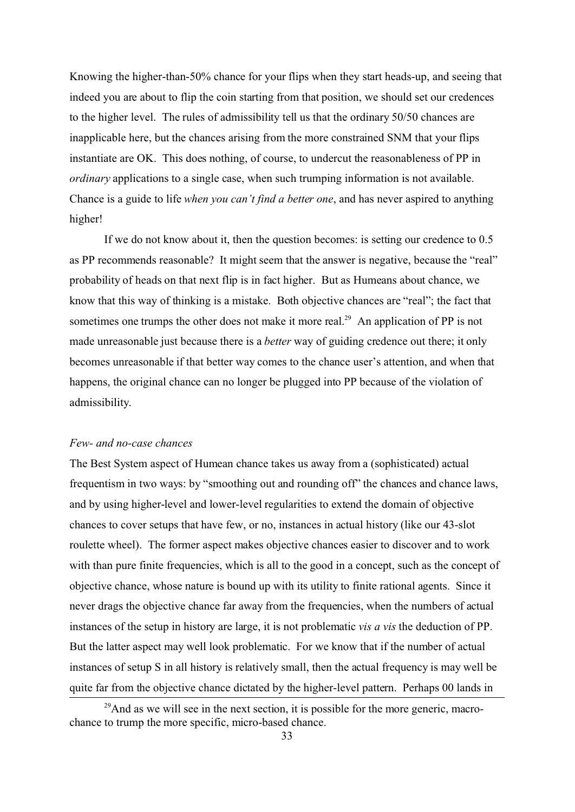Knowing the higher-than-50% chance for your flips when they start heads-up, and seeing that indeed you are about to flip the coin starting from that position, we should set our credences to the higher level. The rules of admissibility tell us that the ordinary 50/50 chances are inapplicable here, but the chances arising from the more constrained SNM that your flips instantiate are OK. This does nothing, of course, to undercut the reasonableness of PP in *ordinary* applications to a single case, when such trumping information is not available. Chance is a guide to life *when you can't find a better one*, and has never aspired to anything higher!

If we do not know about it, then the question becomes: is setting our credence to 0.5 as PP recommends reasonable? It might seem that the answer is negative, because the "real" probability of heads on that next flip is in fact higher. But as Humeans about chance, we know that this way of thinking is a mistake. Both objective chances are "real"; the fact that sometimes one trumps the other does not make it more real.<sup>29</sup> An application of PP is not made unreasonable just because there is a *better* way of guiding credence out there; it only becomes unreasonable if that better way comes to the chance user's attention, and when that happens, the original chance can no longer be plugged into PP because of the violation of admissibility.

# *Few- and no-case chances*

The Best System aspect of Humean chance takes us away from a (sophisticated) actual frequentism in two ways: by "smoothing out and rounding off" the chances and chance laws, and by using higher-level and lower-level regularities to extend the domain of objective chances to cover setups that have few, or no, instances in actual history (like our 43-slot roulette wheel). The former aspect makes objective chances easier to discover and to work with than pure finite frequencies, which is all to the good in a concept, such as the concept of objective chance, whose nature is bound up with its utility to finite rational agents. Since it never drags the objective chance far away from the frequencies, when the numbers of actual instances of the setup in history are large, it is not problematic *vis a vis* the deduction of PP. But the latter aspect may well look problematic. For we know that if the number of actual instances of setup S in all history is relatively small, then the actual frequency is may well be quite far from the objective chance dictated by the higher-level pattern. Perhaps 00 lands in

 $^{29}$ And as we will see in the next section, it is possible for the more generic, macrochance to trump the more specific, micro-based chance.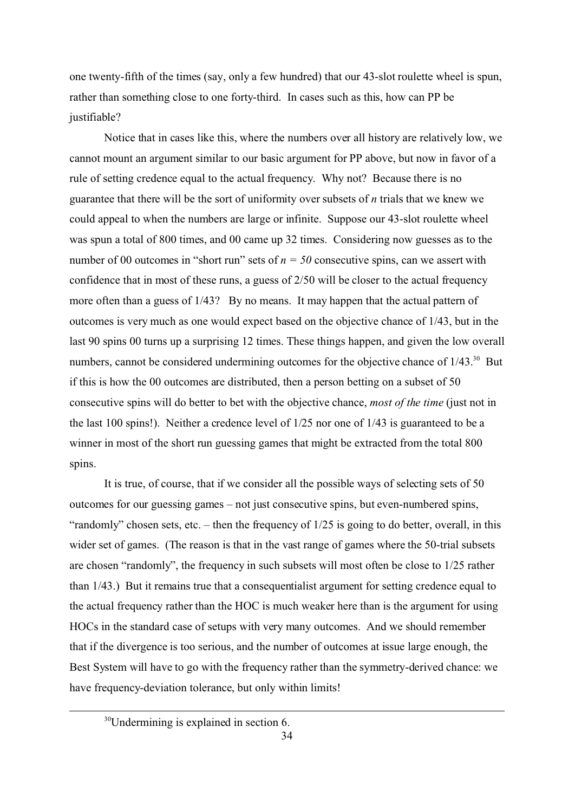one twenty-fifth of the times (say, only a few hundred) that our 43-slot roulette wheel is spun, rather than something close to one forty-third. In cases such as this, how can PP be justifiable?

Notice that in cases like this, where the numbers over all history are relatively low, we cannot mount an argument similar to our basic argument for PP above, but now in favor of a rule of setting credence equal to the actual frequency. Why not? Because there is no guarantee that there will be the sort of uniformity over subsets of *n* trials that we knew we could appeal to when the numbers are large or infinite. Suppose our 43-slot roulette wheel was spun a total of 800 times, and 00 came up 32 times. Considering now guesses as to the number of 00 outcomes in "short run" sets of  $n = 50$  consecutive spins, can we assert with confidence that in most of these runs, a guess of 2/50 will be closer to the actual frequency more often than a guess of  $1/43$ ? By no means. It may happen that the actual pattern of outcomes is very much as one would expect based on the objective chance of 1/43, but in the last 90 spins 00 turns up a surprising 12 times. These things happen, and given the low overall numbers, cannot be considered undermining outcomes for the objective chance of 1/43.<sup>30</sup> But if this is how the 00 outcomes are distributed, then a person betting on a subset of 50 consecutive spins will do better to bet with the objective chance, *most of the time* (just not in the last 100 spins!). Neither a credence level of 1/25 nor one of 1/43 is guaranteed to be a winner in most of the short run guessing games that might be extracted from the total 800 spins.

It is true, of course, that if we consider all the possible ways of selecting sets of 50 outcomes for our guessing games – not just consecutive spins, but even-numbered spins, "randomly" chosen sets, etc. – then the frequency of  $1/25$  is going to do better, overall, in this wider set of games. (The reason is that in the vast range of games where the 50-trial subsets are chosen "randomly", the frequency in such subsets will most often be close to 1/25 rather than 1/43.) But it remains true that a consequentialist argument for setting credence equal to the actual frequency rather than the HOC is much weaker here than is the argument for using HOCs in the standard case of setups with very many outcomes. And we should remember that if the divergence is too serious, and the number of outcomes at issue large enough, the Best System will have to go with the frequency rather than the symmetry-derived chance: we have frequency-deviation tolerance, but only within limits!

<sup>30</sup>Undermining is explained in section 6.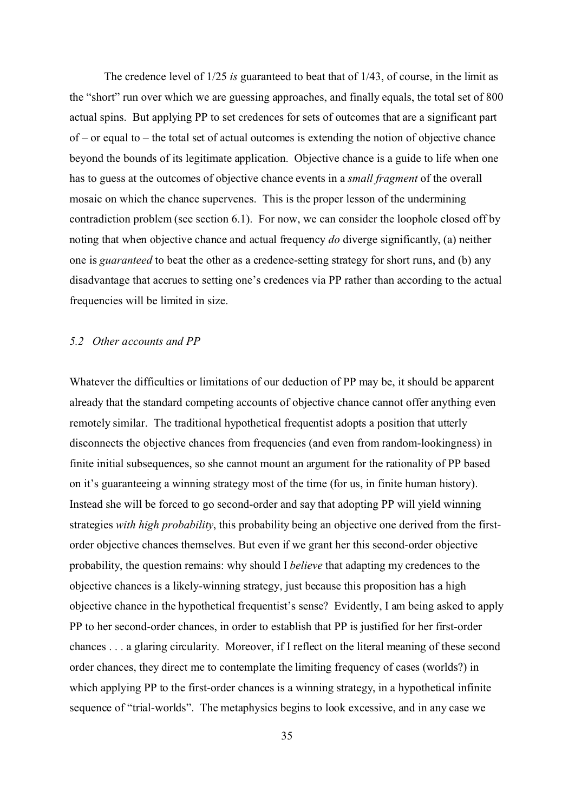The credence level of 1/25 *is* guaranteed to beat that of 1/43, of course, in the limit as the "short" run over which we are guessing approaches, and finally equals, the total set of 800 actual spins. But applying PP to set credences for sets of outcomes that are a significant part of – or equal to – the total set of actual outcomes is extending the notion of objective chance beyond the bounds of its legitimate application. Objective chance is a guide to life when one has to guess at the outcomes of objective chance events in a *small fragment* of the overall mosaic on which the chance supervenes. This is the proper lesson of the undermining contradiction problem (see section 6.1). For now, we can consider the loophole closed off by noting that when objective chance and actual frequency *do* diverge significantly, (a) neither one is *guaranteed* to beat the other as a credence-setting strategy for short runs, and (b) any disadvantage that accrues to setting one's credences via PP rather than according to the actual frequencies will be limited in size.

### *5.2 Other accounts and PP*

Whatever the difficulties or limitations of our deduction of PP may be, it should be apparent already that the standard competing accounts of objective chance cannot offer anything even remotely similar. The traditional hypothetical frequentist adopts a position that utterly disconnects the objective chances from frequencies (and even from random-lookingness) in finite initial subsequences, so she cannot mount an argument for the rationality of PP based on it's guaranteeing a winning strategy most of the time (for us, in finite human history). Instead she will be forced to go second-order and say that adopting PP will yield winning strategies *with high probability*, this probability being an objective one derived from the firstorder objective chances themselves. But even if we grant her this second-order objective probability, the question remains: why should I *believe* that adapting my credences to the objective chances is a likely-winning strategy, just because this proposition has a high objective chance in the hypothetical frequentist's sense? Evidently, I am being asked to apply PP to her second-order chances, in order to establish that PP is justified for her first-order chances . . . a glaring circularity. Moreover, if I reflect on the literal meaning of these second order chances, they direct me to contemplate the limiting frequency of cases (worlds?) in which applying PP to the first-order chances is a winning strategy, in a hypothetical infinite sequence of "trial-worlds". The metaphysics begins to look excessive, and in any case we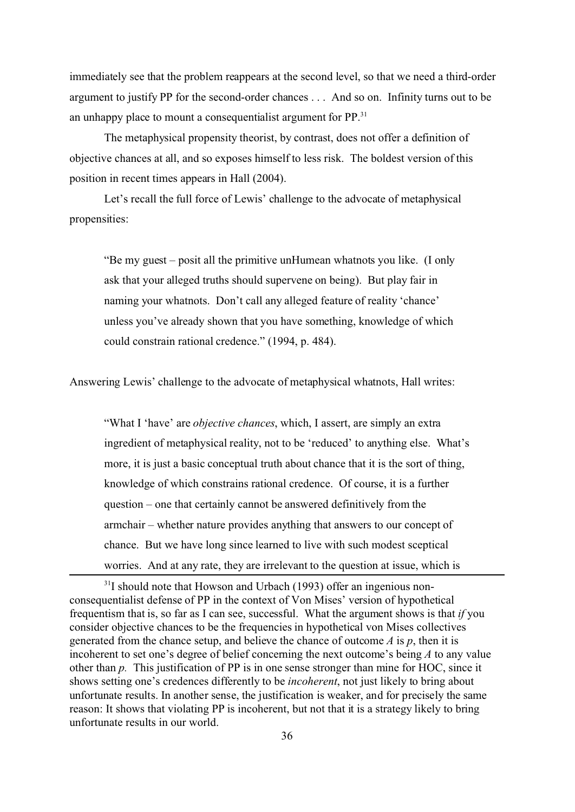immediately see that the problem reappears at the second level, so that we need a third-order argument to justify PP for the second-order chances . . . And so on. Infinity turns out to be an unhappy place to mount a consequentialist argument for PP.<sup>31</sup>

The metaphysical propensity theorist, by contrast, does not offer a definition of objective chances at all, and so exposes himself to less risk. The boldest version of this position in recent times appears in Hall (2004).

Let's recall the full force of Lewis' challenge to the advocate of metaphysical propensities:

"Be my guest – posit all the primitive unHumean whatnots you like. (I only ask that your alleged truths should supervene on being). But play fair in naming your whatnots. Don't call any alleged feature of reality 'chance' unless you've already shown that you have something, knowledge of which could constrain rational credence." (1994, p. 484).

Answering Lewis' challenge to the advocate of metaphysical whatnots, Hall writes:

"What I 'have' are *objective chances*, which, I assert, are simply an extra ingredient of metaphysical reality, not to be 'reduced' to anything else. What's more, it is just a basic conceptual truth about chance that it is the sort of thing, knowledge of which constrains rational credence. Of course, it is a further question – one that certainly cannot be answered definitively from the armchair – whether nature provides anything that answers to our concept of chance. But we have long since learned to live with such modest sceptical worries. And at any rate, they are irrelevant to the question at issue, which is

 $31$ I should note that Howson and Urbach (1993) offer an ingenious nonconsequentialist defense of PP in the context of Von Mises' version of hypothetical frequentism that is, so far as I can see, successful. What the argument shows is that *if* you consider objective chances to be the frequencies in hypothetical von Mises collectives generated from the chance setup, and believe the chance of outcome *A* is *p*, then it is incoherent to set one's degree of belief concerning the next outcome's being *A* to any value other than *p.* This justification of PP is in one sense stronger than mine for HOC, since it shows setting one's credences differently to be *incoherent*, not just likely to bring about unfortunate results. In another sense, the justification is weaker, and for precisely the same reason: It shows that violating PP is incoherent, but not that it is a strategy likely to bring unfortunate results in our world.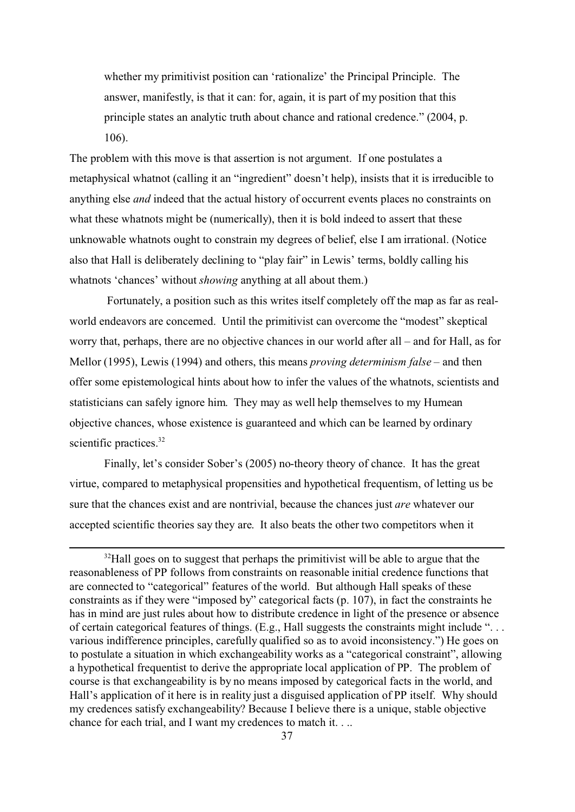whether my primitivist position can 'rationalize' the Principal Principle. The answer, manifestly, is that it can: for, again, it is part of my position that this principle states an analytic truth about chance and rational credence." (2004, p. 106).

The problem with this move is that assertion is not argument. If one postulates a metaphysical whatnot (calling it an "ingredient" doesn't help), insists that it is irreducible to anything else *and* indeed that the actual history of occurrent events places no constraints on what these whatnots might be (numerically), then it is bold indeed to assert that these unknowable whatnots ought to constrain my degrees of belief, else I am irrational. (Notice also that Hall is deliberately declining to "play fair" in Lewis' terms, boldly calling his whatnots 'chances' without *showing* anything at all about them.)

 Fortunately, a position such as this writes itself completely off the map as far as realworld endeavors are concerned. Until the primitivist can overcome the "modest" skeptical worry that, perhaps, there are no objective chances in our world after all – and for Hall, as for Mellor (1995), Lewis (1994) and others, this means *proving determinism false* – and then offer some epistemological hints about how to infer the values of the whatnots, scientists and statisticians can safely ignore him. They may as well help themselves to my Humean objective chances, whose existence is guaranteed and which can be learned by ordinary scientific practices.<sup>32</sup>

Finally, let's consider Sober's (2005) no-theory theory of chance. It has the great virtue, compared to metaphysical propensities and hypothetical frequentism, of letting us be sure that the chances exist and are nontrivial, because the chances just *are* whatever our accepted scientific theories say they are. It also beats the other two competitors when it

 $32$ Hall goes on to suggest that perhaps the primitivist will be able to argue that the reasonableness of PP follows from constraints on reasonable initial credence functions that are connected to "categorical" features of the world. But although Hall speaks of these constraints as if they were "imposed by" categorical facts (p. 107), in fact the constraints he has in mind are just rules about how to distribute credence in light of the presence or absence of certain categorical features of things. (E.g., Hall suggests the constraints might include ". . . various indifference principles, carefully qualified so as to avoid inconsistency.") He goes on to postulate a situation in which exchangeability works as a "categorical constraint", allowing a hypothetical frequentist to derive the appropriate local application of PP. The problem of course is that exchangeability is by no means imposed by categorical facts in the world, and Hall's application of it here is in reality just a disguised application of PP itself. Why should my credences satisfy exchangeability? Because I believe there is a unique, stable objective chance for each trial, and I want my credences to match it. . ..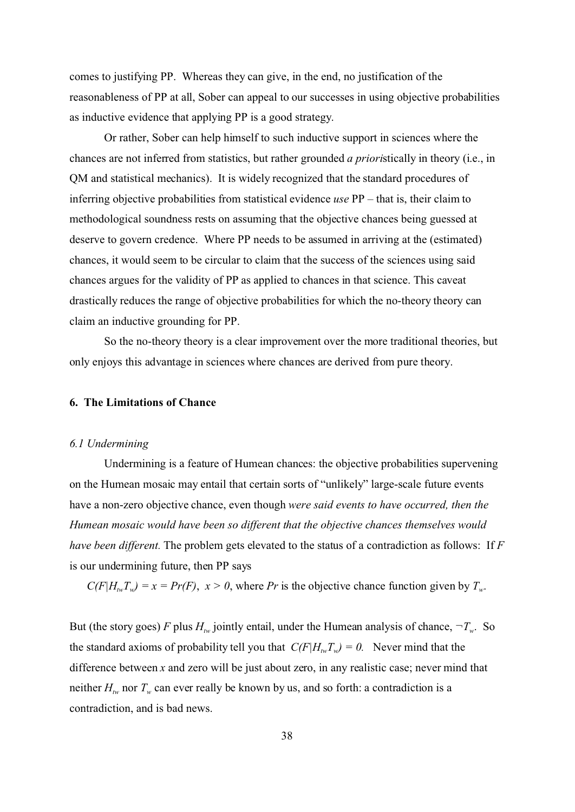comes to justifying PP. Whereas they can give, in the end, no justification of the reasonableness of PP at all, Sober can appeal to our successes in using objective probabilities as inductive evidence that applying PP is a good strategy.

Or rather, Sober can help himself to such inductive support in sciences where the chances are not inferred from statistics, but rather grounded *a priori*stically in theory (i.e., in QM and statistical mechanics). It is widely recognized that the standard procedures of inferring objective probabilities from statistical evidence *use* PP – that is, their claim to methodological soundness rests on assuming that the objective chances being guessed at deserve to govern credence. Where PP needs to be assumed in arriving at the (estimated) chances, it would seem to be circular to claim that the success of the sciences using said chances argues for the validity of PP as applied to chances in that science. This caveat drastically reduces the range of objective probabilities for which the no-theory theory can claim an inductive grounding for PP.

So the no-theory theory is a clear improvement over the more traditional theories, but only enjoys this advantage in sciences where chances are derived from pure theory.

### **6. The Limitations of Chance**

#### *6.1 Undermining*

Undermining is a feature of Humean chances: the objective probabilities supervening on the Humean mosaic may entail that certain sorts of "unlikely" large-scale future events have a non-zero objective chance, even though *were said events to have occurred, then the Humean mosaic would have been so different that the objective chances themselves would have been different.* The problem gets elevated to the status of a contradiction as follows: If *F* is our undermining future, then PP says

 $C(F|H_{tw}T_w) = x = Pr(F)$ ,  $x > 0$ , where *Pr* is the objective chance function given by  $T_w$ .

But (the story goes) *F* plus  $H_{tw}$  jointly entail, under the Humean analysis of chance,  $\neg T_w$ . So the standard axioms of probability tell you that  $C(F|H_{rw}T_w) = 0$ . Never mind that the difference between *x* and zero will be just about zero, in any realistic case; never mind that neither  $H_{tw}$  nor  $T_w$  can ever really be known by us, and so forth: a contradiction is a contradiction, and is bad news.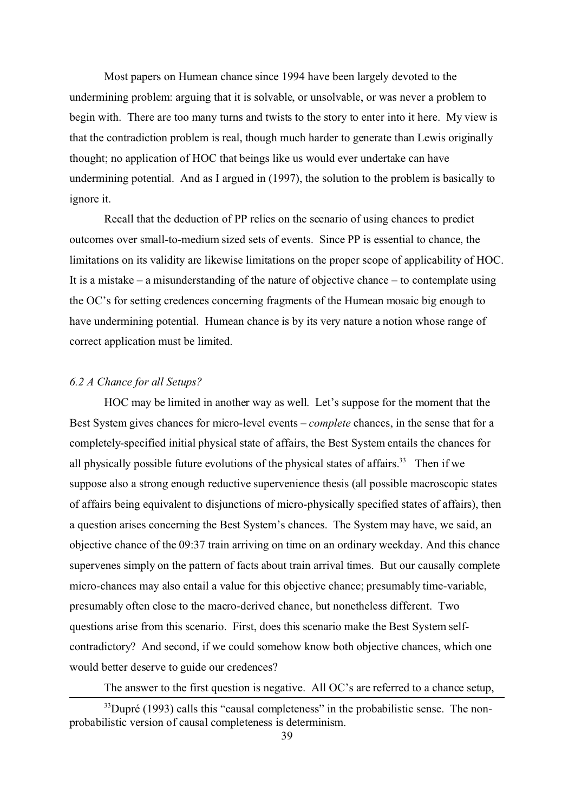Most papers on Humean chance since 1994 have been largely devoted to the undermining problem: arguing that it is solvable, or unsolvable, or was never a problem to begin with. There are too many turns and twists to the story to enter into it here. My view is that the contradiction problem is real, though much harder to generate than Lewis originally thought; no application of HOC that beings like us would ever undertake can have undermining potential. And as I argued in (1997), the solution to the problem is basically to ignore it.

Recall that the deduction of PP relies on the scenario of using chances to predict outcomes over small-to-medium sized sets of events. Since PP is essential to chance, the limitations on its validity are likewise limitations on the proper scope of applicability of HOC. It is a mistake – a misunderstanding of the nature of objective chance – to contemplate using the OC's for setting credences concerning fragments of the Humean mosaic big enough to have undermining potential. Humean chance is by its very nature a notion whose range of correct application must be limited.

# *6.2 A Chance for all Setups?*

HOC may be limited in another way as well. Let's suppose for the moment that the Best System gives chances for micro-level events – *complete* chances, in the sense that for a completely-specified initial physical state of affairs, the Best System entails the chances for all physically possible future evolutions of the physical states of affairs.<sup>33</sup> Then if we suppose also a strong enough reductive supervenience thesis (all possible macroscopic states of affairs being equivalent to disjunctions of micro-physically specified states of affairs), then a question arises concerning the Best System's chances. The System may have, we said, an objective chance of the 09:37 train arriving on time on an ordinary weekday. And this chance supervenes simply on the pattern of facts about train arrival times. But our causally complete micro-chances may also entail a value for this objective chance; presumably time-variable, presumably often close to the macro-derived chance, but nonetheless different. Two questions arise from this scenario. First, does this scenario make the Best System selfcontradictory? And second, if we could somehow know both objective chances, which one would better deserve to guide our credences?

The answer to the first question is negative. All OC's are referred to a chance setup,

 $33$ Dupré (1993) calls this "causal completeness" in the probabilistic sense. The nonprobabilistic version of causal completeness is determinism.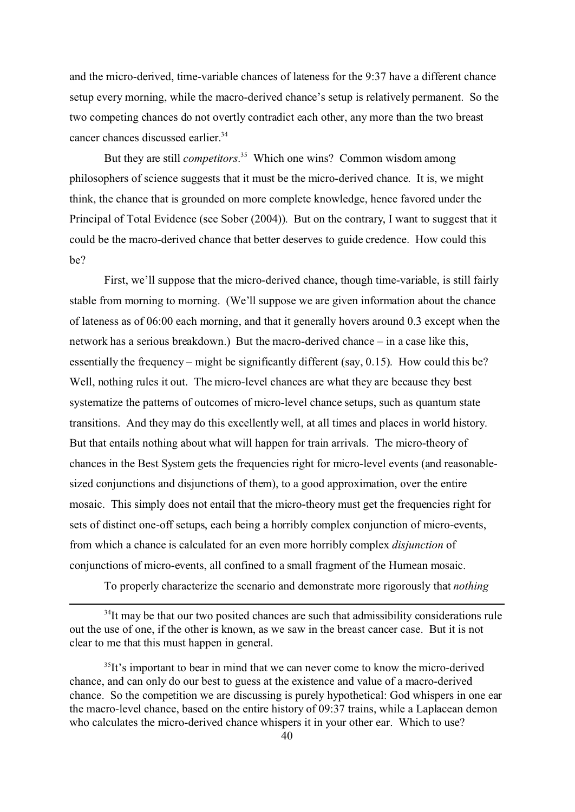and the micro-derived, time-variable chances of lateness for the 9:37 have a different chance setup every morning, while the macro-derived chance's setup is relatively permanent. So the two competing chances do not overtly contradict each other, any more than the two breast cancer chances discussed earlier.<sup>34</sup>

But they are still *competitors*. <sup>35</sup> Which one wins? Common wisdom among philosophers of science suggests that it must be the micro-derived chance. It is, we might think, the chance that is grounded on more complete knowledge, hence favored under the Principal of Total Evidence (see Sober (2004)). But on the contrary, I want to suggest that it could be the macro-derived chance that better deserves to guide credence. How could this be?

First, we'll suppose that the micro-derived chance, though time-variable, is still fairly stable from morning to morning. (We'll suppose we are given information about the chance of lateness as of 06:00 each morning, and that it generally hovers around 0.3 except when the network has a serious breakdown.) But the macro-derived chance – in a case like this, essentially the frequency – might be significantly different (say, 0.15). How could this be? Well, nothing rules it out. The micro-level chances are what they are because they best systematize the patterns of outcomes of micro-level chance setups, such as quantum state transitions. And they may do this excellently well, at all times and places in world history. But that entails nothing about what will happen for train arrivals. The micro-theory of chances in the Best System gets the frequencies right for micro-level events (and reasonablesized conjunctions and disjunctions of them), to a good approximation, over the entire mosaic. This simply does not entail that the micro-theory must get the frequencies right for sets of distinct one-off setups, each being a horribly complex conjunction of micro-events, from which a chance is calculated for an even more horribly complex *disjunction* of conjunctions of micro-events, all confined to a small fragment of the Humean mosaic.

To properly characterize the scenario and demonstrate more rigorously that *nothing*

<sup>&</sup>lt;sup>34</sup>It may be that our two posited chances are such that admissibility considerations rule out the use of one, if the other is known, as we saw in the breast cancer case. But it is not clear to me that this must happen in general.

<sup>&</sup>lt;sup>35</sup>It's important to bear in mind that we can never come to know the micro-derived chance, and can only do our best to guess at the existence and value of a macro-derived chance. So the competition we are discussing is purely hypothetical: God whispers in one ear the macro-level chance, based on the entire history of 09:37 trains, while a Laplacean demon who calculates the micro-derived chance whispers it in your other ear. Which to use?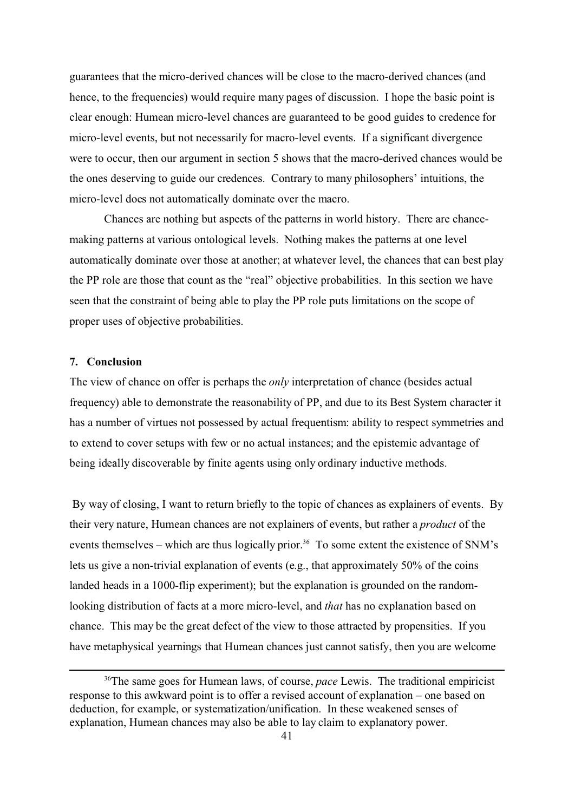guarantees that the micro-derived chances will be close to the macro-derived chances (and hence, to the frequencies) would require many pages of discussion. I hope the basic point is clear enough: Humean micro-level chances are guaranteed to be good guides to credence for micro-level events, but not necessarily for macro-level events. If a significant divergence were to occur, then our argument in section 5 shows that the macro-derived chances would be the ones deserving to guide our credences. Contrary to many philosophers' intuitions, the micro-level does not automatically dominate over the macro.

Chances are nothing but aspects of the patterns in world history. There are chancemaking patterns at various ontological levels. Nothing makes the patterns at one level automatically dominate over those at another; at whatever level, the chances that can best play the PP role are those that count as the "real" objective probabilities. In this section we have seen that the constraint of being able to play the PP role puts limitations on the scope of proper uses of objective probabilities.

### **7. Conclusion**

The view of chance on offer is perhaps the *only* interpretation of chance (besides actual frequency) able to demonstrate the reasonability of PP, and due to its Best System character it has a number of virtues not possessed by actual frequentism: ability to respect symmetries and to extend to cover setups with few or no actual instances; and the epistemic advantage of being ideally discoverable by finite agents using only ordinary inductive methods.

 By way of closing, I want to return briefly to the topic of chances as explainers of events. By their very nature, Humean chances are not explainers of events, but rather a *product* of the events themselves – which are thus logically prior.<sup>36</sup> To some extent the existence of SNM's lets us give a non-trivial explanation of events (e.g., that approximately 50% of the coins landed heads in a 1000-flip experiment); but the explanation is grounded on the randomlooking distribution of facts at a more micro-level, and *that* has no explanation based on chance. This may be the great defect of the view to those attracted by propensities. If you have metaphysical yearnings that Humean chances just cannot satisfy, then you are welcome

<sup>36</sup>The same goes for Humean laws, of course, *pace* Lewis. The traditional empiricist response to this awkward point is to offer a revised account of explanation – one based on deduction, for example, or systematization/unification. In these weakened senses of explanation, Humean chances may also be able to lay claim to explanatory power.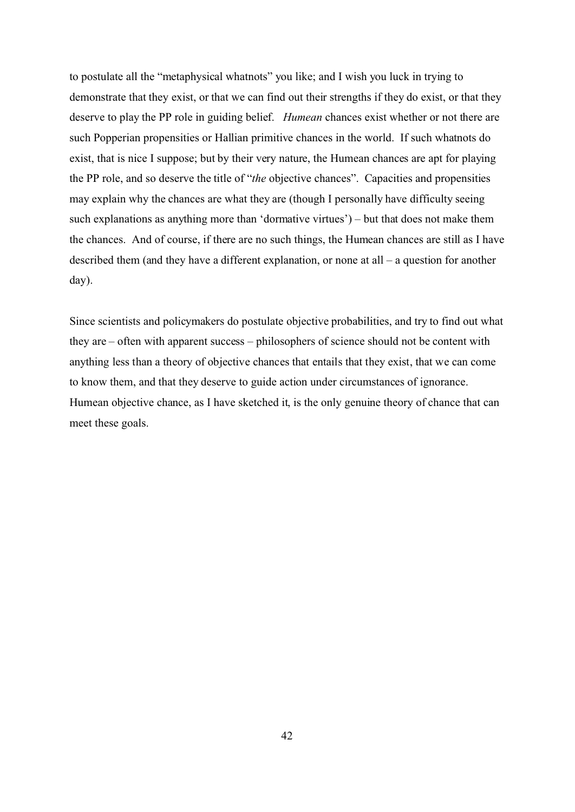to postulate all the "metaphysical whatnots" you like; and I wish you luck in trying to demonstrate that they exist, or that we can find out their strengths if they do exist, or that they deserve to play the PP role in guiding belief. *Humean* chances exist whether or not there are such Popperian propensities or Hallian primitive chances in the world. If such whatnots do exist, that is nice I suppose; but by their very nature, the Humean chances are apt for playing the PP role, and so deserve the title of "*the* objective chances". Capacities and propensities may explain why the chances are what they are (though I personally have difficulty seeing such explanations as anything more than 'dormative virtues') – but that does not make them the chances. And of course, if there are no such things, the Humean chances are still as I have described them (and they have a different explanation, or none at all – a question for another day).

Since scientists and policymakers do postulate objective probabilities, and try to find out what they are – often with apparent success – philosophers of science should not be content with anything less than a theory of objective chances that entails that they exist, that we can come to know them, and that they deserve to guide action under circumstances of ignorance. Humean objective chance, as I have sketched it, is the only genuine theory of chance that can meet these goals.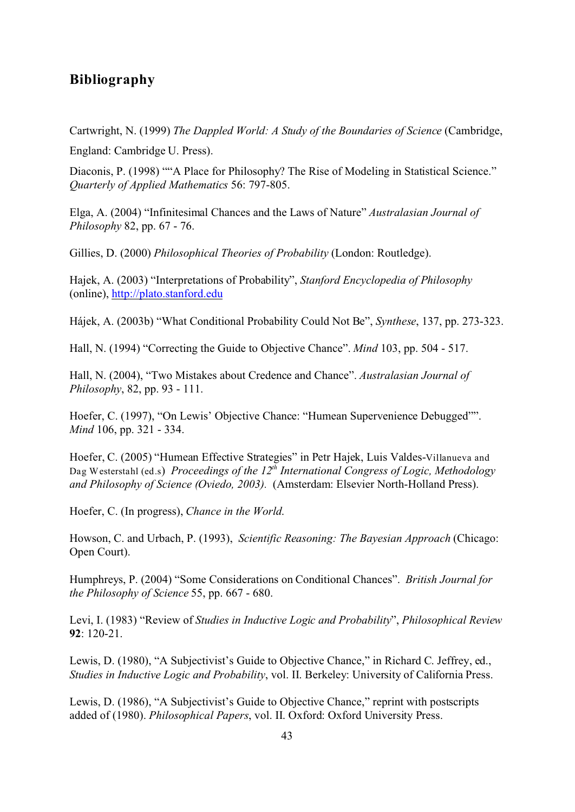# **Bibliography**

Cartwright, N. (1999) *The Dappled World: A Study of the Boundaries of Science* (Cambridge,

England: Cambridge U. Press).

Diaconis, P. (1998) ""A Place for Philosophy? The Rise of Modeling in Statistical Science." *Quarterly of Applied Mathematics* 56: 797-805.

Elga, A. (2004) "Infinitesimal Chances and the Laws of Nature" *Australasian Journal of Philosophy* 82, pp. 67 - 76.

Gillies, D. (2000) *Philosophical Theories of Probability* (London: Routledge).

Hajek, A. (2003) "Interpretations of Probability", *Stanford Encyclopedia of Philosophy* (online),<http://plato.stanford.edu>

Hájek, A. (2003b) "What Conditional Probability Could Not Be", *Synthese*, 137, pp. 273-323.

Hall, N. (1994) "Correcting the Guide to Objective Chance". *Mind* 103, pp. 504 - 517.

Hall, N. (2004), "Two Mistakes about Credence and Chance". *Australasian Journal of Philosophy*, 82, pp. 93 - 111.

Hoefer, C. (1997), "On Lewis' Objective Chance: "Humean Supervenience Debugged"". *Mind* 106, pp. 321 - 334.

Hoefer, C. (2005) "Humean Effective Strategies" in Petr Hajek, Luis Valdes-Villanueva and Dag Westerstahl (ed.s) *Proceedings of the 12th International Congress of Logic, Methodology and Philosophy of Science (Oviedo, 2003).* (Amsterdam: Elsevier North-Holland Press).

Hoefer, C. (In progress), *Chance in the World*.

Howson, C. and Urbach, P. (1993), *Scientific Reasoning: The Bayesian Approach* (Chicago: Open Court).

Humphreys, P. (2004) "Some Considerations on Conditional Chances". *British Journal for the Philosophy of Science* 55, pp. 667 - 680.

Levi, I. (1983) "Review of *Studies in Inductive Logic and Probability*", *Philosophical Review* **92**: 120-21.

Lewis, D. (1980), "A Subjectivist's Guide to Objective Chance," in Richard C. Jeffrey, ed., *Studies in Inductive Logic and Probability*, vol. II. Berkeley: University of California Press.

Lewis, D. (1986), "A Subjectivist's Guide to Objective Chance," reprint with postscripts added of (1980). *Philosophical Papers*, vol. II. Oxford: Oxford University Press.